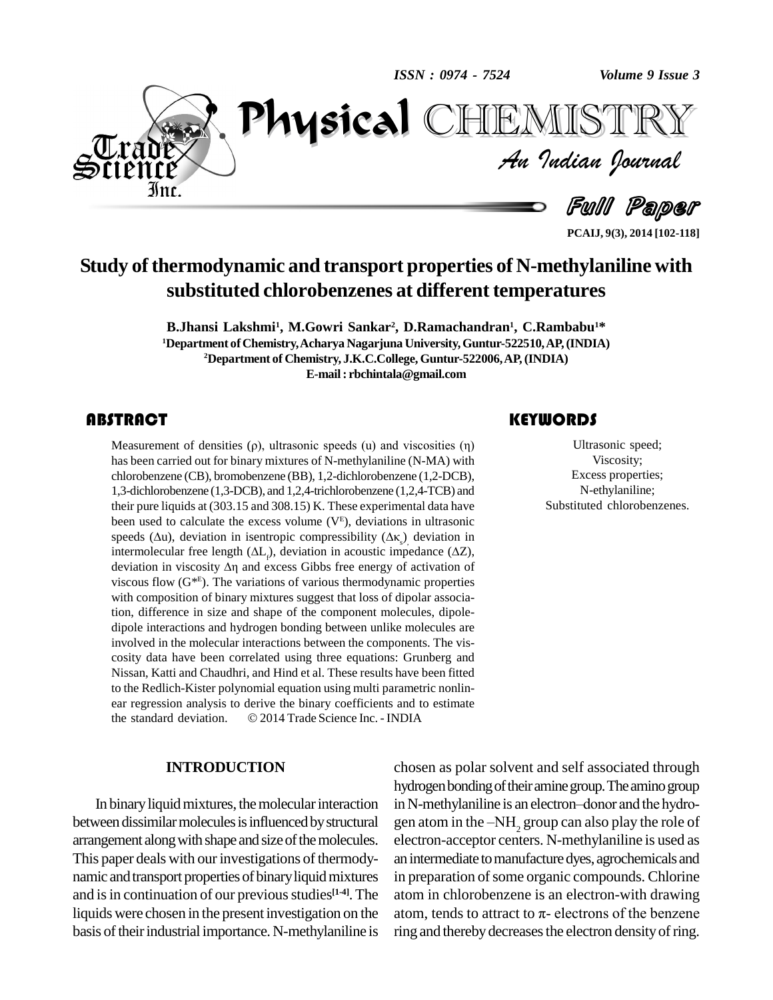*ISSN : 0974 - 7524*

*Volume 9 Issue 3*



*Volume 9 Issue 3*<br>ISTRY<br>*Indian Iournal* PhysicalTEMISTRY

Full Paper

**PCAIJ, 9(3), 2014 [102-118]**

## **Study ofthermodynamic and transport properties of N-methylaniline with substituted chlorobenzenes at different temperatures**

**B.Jhansi Lakshmi<sup>1</sup> , M.Gowri Sankar 2 , D.Ramachandran 1 , C.Rambabu <sup>1</sup>\* <sup>1</sup>Department ofChemistry,Acharya Nagarjuna University,Guntur-522510,AP,(INDIA) <sup>2</sup>Department of Chemistry, J.K.C.College, Guntur-522006,AP,(INDIA) E-mail: [rbchintala@gmail.com](mailto:rbchintala@gmail.com)**

Measurement of densition<br>has been carried out for b<br>chlorobenzene (CB), bror **ABSTRACT**<br>Measurement of densities ( $\rho$ ), ultrasonic speeds (u) and viscosities ( $\eta$ ) has been carried out for binary mixtures of N-methylaniline (N-MA) with chlorobenzene (CB), bromobenzene (BB), 1,2-dichlorobenzene (1,2-DCB), 1,3-dichlorobenzene (1,3-DCB), and 1,2,4-trichlorobenzene (1,2,4-TCB) and their pure liquids at (303.15 and 308.15) K. These experimental data have been used to calculate the excess volume  $(V<sup>E</sup>)$ , deviations in ultrasonic their pure liquids at (303.15 and 308.15) K. These experimental da<br>been used to calculate the excess volume ( $V^E$ ), deviations in ult<br>speeds ( $\Delta u$ ), deviation in isentropic compressibility ( $\Delta \kappa_s$ ) devia speeds ( $\Delta u$ ), deviation in isentropic compressibility ( $\Delta \kappa$ ) deviation in intermolecular free length  $(\Delta L_i)$ , deviation in acoustic impedance  $(\Delta Z)$ , deviation in viscosity  $\Delta \eta$  and excess Gibbs free energy of activation of viscous flow (G\* E ). The variations of various thermodynamic properties with composition of binary mixtures suggest that loss of dipolar association, difference in size and shape of the component molecules, dipole dipole interactions and hydrogen bonding between unlike molecules are involved in the molecular interactions between the components. The vis cosity data have been correlated using three equations: Grunberg and Nissan, Katti and Chaudhri, and Hind et al. These results have been fitted to the Redlich-Kister polynomial equation using multi parametric nonlin-<br>ear regression analysis to derive the binary coefficients and to estimate<br>the standard deviation. © 2014 Trade Science Inc. - INDIA ear regression analysis to derive the binary coefficients and to estimate

### **INTRODUCTION**

between dissimilar molecules is influenced by structural arrangement along with shape and size of the molecules. This paper deals with our investigations of thermodynamic and transport properties of binary liquid mixtures and is in continuation of our previous studies<sup>[1-4]</sup>. The atom basis of their industrial importance. N-methylaniline is

## **KEYWORDS**

THE COMMISSION CONTRACT CONTRACT CONTRACT VISCOSITY;<br>
Excess properties; Ultrasonic speed; Viscosity; N-ethylaniline; Substituted chlorobenzenes.

In binary liquid mixtures, the molecular interaction in N-methylaniline is an electron-donor and the hydroliquids were chosen in the present investigation on the atom, tends to attract to  $\pi$ -electrons of the benzene chosen as polar solvent and self associated through hydrogen bonding of their amine group. The amino group chosen as polar solvent and self associated through<br>hydrogen bonding of their amine group. The amino group<br>in N-methylaniline is an electron–donor and the hydrogen atom in the -NH<sub>2</sub> group can also play the role of electron-acceptor centers. N-methylaniline is used as an intermediate to manufacture dyes, agrochemicals and in preparation of some organic compounds. Chlorine<br>atom in chlorobenzene is an electron-with drawing<br>atom, tends to attract to  $\pi$ - electrons of the benzene atom in chlorobenzene is an electron-with drawing ring and thereby decreases the electron density of ring.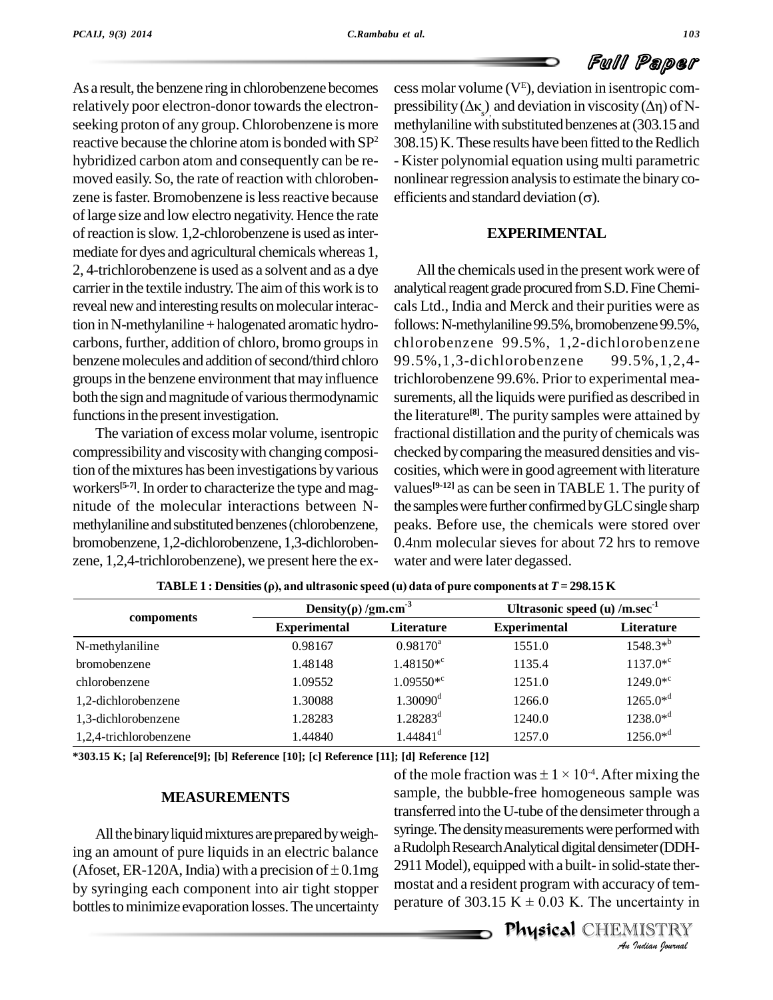As a result, the benzene ring in chlorobenzene becomes seeking proton of any group. Chlorobenzene is more reactive because the chlorine atom is bonded with SP<sup>2</sup> hybridized carbon atom and consequently can be re moved easily. So, the rate of reaction with chlorobenzene is faster. Bromobenzene is less reactive because efficients and standard deviation  $(\sigma)$ . oflarge size and low electro negativity.Hence the rate of reaction is slow. 1,2-chlorobenzene is used as intermediate for dyes and agricultural chemicalswhereas 1, 2, 4-trichlorobenzene is used as a solvent and as a dye carrier in the textile industry. The aim of this work is to reveal new and interesting results on molecular interaction inN-methylaniline+halogenated aromatic hydro carbons, further, addition of chloro, bromo groups in benzene molecules and addition of second/third chloro groups in the benzene environment that may influence both the sign and magnitude of various thermodynamic functions in the present investigation.

The variation of excess molar volume, isentropic compressibilityand viscositywith changing composition of the mixtures has been investigations by various workers<sup>[5-7]</sup>. In order to characterize the type and mag- value nitude of the molecular interactions between N methylaniline and substituted benzenes (chlorobenzene, bromobenzene, 1,2-dichlorobenzene, 1,3-dichloroben zene, 1,2,4-trichlorobenzene), we present here the ex-

relatively poor electron-donor towards the electron-<br>pressibility  $(\Delta \kappa)$  and deviation in viscosity  $(\Delta \eta)$  of N- $2^2$  308.15) K. These results have been fitted to the Redlich cess molar volume (V<sup>E</sup> ), deviation in isentropic com cess molar volume ( $V^E$ <br>pressibility ( $\Delta \kappa$ <sub>s</sub>)<sub>,</sub> and do methylaniline with substituted benzenes at (303.15 and - Kister polynomial equation using multi parametric<br>nonlinear regression analysis to estimate the binary co-<br>efficients and standard deviation  $(\sigma)$ . nonlinear regression analysis to estimate the binary co-

### **EXPERIMENTAL**

All the chemicals used in the present work were of analytical reagent grade procured from S.D. Fine Chemicals Ltd., India and Merck and their purities were as follows: N-methylaniline 99.5%, bromobenzene 99.5%, chlorobenzene 99.5%, 1,2-dichlorobenzene 99.5%,1,3-dichlorobenzene 99.5%,1,2,4 trichlorobenzene 99.6%. Prior to experimental mea surements, all the liquids were purified as described in the literature **[8]**. The purity samples were attained by fractional distillation and the purity of chemicals was checked bycomparing themeasured densities and vis cosities, which were in good agreement with literature values **[9-12]** as can be seen in TABLE 1. The purity of the samples were further confirmed by GLC single sharp peaks. Before use, the chemicals were stored over 0.4nm molecular sieves for about 72 hrs to remove water and were later degassed.

|                        | Density( $\rho$ )/gm.cm <sup>-3</sup> |                        | Ultrasonic speed (u) $/m/sec-1$ |                   |  |
|------------------------|---------------------------------------|------------------------|---------------------------------|-------------------|--|
| compoments             | <b>Experimental</b>                   | <b>Literature</b>      | <b>Experimental</b>             | <b>Literature</b> |  |
| N-methylaniline        | 0.98167                               | $0.98170^a$            | 1551.0                          | $1548.3^{*b}$     |  |
| bromobenzene           | 1.48148                               | $1.48150*^c$           | 1135.4                          | $1137.0*^c$       |  |
| chlorobenzene          | 1.09552                               | $1.09550*^c$           | 1251.0                          | $1249.0*^c$       |  |
| 1,2-dichlorobenzene    | 1.30088                               | $1.30090$ <sup>d</sup> | 1266.0                          | $1265.0*^{d}$     |  |
| 1,3-dichlorobenzene    | 1.28283                               | $1.28283^d$            | 1240.0                          | $1238.0*^{d}$     |  |
| 1,2,4-trichlorobenzene | 1.44840                               | $1.44841$ <sup>d</sup> | 1257.0                          | $1256.0*^{d}$     |  |

 $\blacksquare$ <br>**TABLE 1** : Densities ( $\rho$ ), and ultrasonic speed (u) data of pure components at  $T = 298.15$  K

**\*303.15 K; [a] Reference[9]; [b] Reference [10]; [c] Reference [11]; [d] Reference [12]**

### **MEASUREMENTS**

All the binary liquid mixtures are prepared by weighing an amount of pure liquids in an electric balance a Rudo All the binary liquid mixtures are prepared by weighing an amount of pure liquids in an electric balance a Rudol (Afoset, ER-120A, India) with a precision of  $\pm$  0.1mg 2911 M by syringing each component into air tight stopper bottles to minimize evaporation losses. The uncertainty

*An*aRudolphResearchAnalyticaldigitaldensimeter(DDH- *Indian*<br>*Indian*<br>*Indian*<br>*I* ISTRY<br>*Indian Iournal* 1.44841<sup>d</sup> 1257.0 1256.0<sup>\*d</sup><br>
; [d] Reference [12]<br>
of the mole fraction was  $\pm 1 \times 10^{-4}$ . After mixing the sample, the bubble-free homogeneous sample was transferred into the U-tube of the densimeter through a syringe. The density measurements were performed with 2911 Model), equipped with a built-in solid-state ther mostat and a resident program with accuracy of tem- 2911 Model), equipped with a built- in solid-state thermostat and a resident program with accuracy of temperature of  $303.15 \text{ K} \pm 0.03 \text{ K}$ . The uncertainty in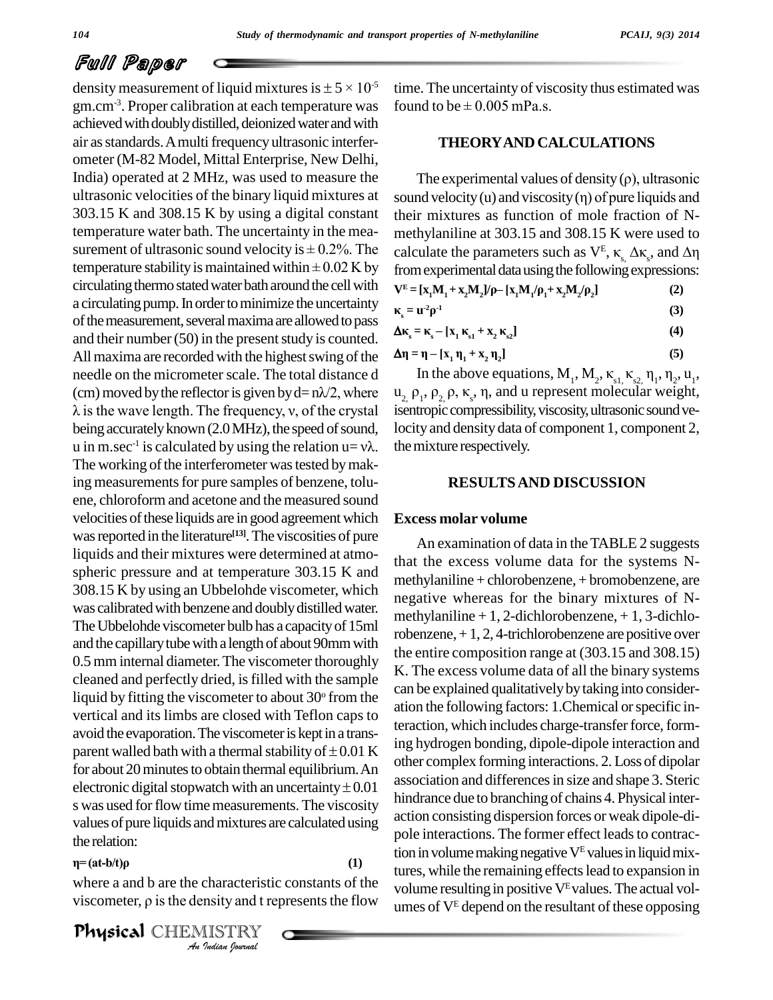density measurement of liquid mixtures is  $\pm$  5  $\times$  10<sup>-5</sup> gm.cm<sup>-3</sup>. Proper calibration at each temperature was foun achieved with doubly distilled, deionized water and with air as standards. A multi frequency ultrasonic interferometer (M-82 Model, Mittal Enterprise, New Delhi, India) operated at 2 MHz, was used to measure the ultrasonic velocities of the binary liquid mixtures at 303.15 K and 308.15 K by using a digital constant temperature water bath. The uncertainty in the mea- 303.15 K and 308.15 K by using a digital constant their<br>temperature water bath. The uncertainty in the mea-<br>surement of ultrasonic sound velocity is  $\pm$  0.2%. The calcul temperature water bath. The uncertainty in the mea-<br>surement of ultrasonic sound velocity is  $\pm$  0.2%. The calculat<br>temperature stability is maintained within  $\pm$  0.02 K by from exp circulating thermo stated water bath around the cell with a circulating pump. In order to minimize the uncertainty of the measurement, several maxima are allowed to pass and their number  $(50)$  in the present study is counted. All maxima are recorded with the highest swing of the needle on the micrometer scale. The total distance d In t All maxima are recorded with the highest swing of the  $\Delta \eta = \eta$ <br>needle on the micrometer scale. The total distance d<br>(cm) moved by the reflector is given by d=  $n\lambda/2$ , where  $u_2$ ,  $\rho_1$ , eedle on the micrometer scale. The total distance d<br>im) moved by the reflector is given by  $d=n\lambda/2$ , where  $u_2$  is the wave length. The frequency, v, of the crystal ise being accurately known (2.0 MHz), the speed of sound,  $u$  in m.sec<sup>-1</sup> is calcu The working of the interferometer was tested by making measurements for pure samples of benzene, toluene, chloroform and acetone and the measured sound velocities of these liquids are in good agreement which was reported in the literature<sup>[13]</sup>. The viscosities of pure liquids and their mixtures were determined at atmo spheric pressure and at temperature 303.15 K and 308.15 K by using an Ubbelohde viscometer, which was calibrated with benzene and doubly distilled water. The Ubbelohde viscometer bulb has a capacity of 15ml and the capillary tube with a length of about 90mm with 0.5 mm internal diameter. The viscometer thoroughly cleaned and perfectly dried, isfilled with the sample liquid by fitting the viscometer to about  $30^{\circ}$  from the vertical and its limbs are closed with Teflon caps to<br>avoid the evaporation. The viscometer is kept in a trans-<br>parent walled bath with a thermal stability of  $\pm$  0.01 K avoid the evaporation.The viscometeris keptin a trans for about 20 minutes to obtain thermal equilibrium. An parent walled bath with a thermal stability of  $\pm 0.01$  K<br>for about 20 minutes to obtain thermal equilibrium. An<br>electronic digital stopwatch with an uncertainty  $\pm 0.01$ s was used for flow time measurements. The viscosity values of pure liquids andmixtures are calculated using the relation:

**(1)**

*Indianacteristic*<br>*IISTRY*<br>*Indian hournal* where a and b are the characteristic constants of the  $\eta$ =(at-b/t) $\rho$  (1)<br>where a and b are the characteristic constants of the<br>viscometer,  $\rho$  is the density and t represents the flow

Physical CHEMISTRY

-5 time. The uncertainty of viscosity thus estimated was time. The uncertainty of viscosit<br>found to be  $\pm$  0.005 mPa.s.

### **THEORYAND CALCULATIONS**

The experimental values of density  $(\rho)$ , ultrasonic sound velocity (u) and viscosity  $(n)$  of pure liquids and their mixtures as function of mole fraction of Nmethylaniline at 303.15 and 308.15 K were used to their mixtures as function of mole fraction of N-<br>methylaniline at 303.15 and 308.15 K were used to<br>calculate the parameters such as  $V^E$ ,  $\kappa_s \Delta \kappa_s$ , and  $\Delta \eta$ from experimental data using the following expressions: calculate the parameters such as  $v$ ,  $k_s$ ,  $\Delta k_s$ , and  $\Delta t$  from experimental data using the following expressions:<br> $V^E = [x_1M_1 + x_2M_2]/\rho - [x_1M_1/\rho_1 + x_2M_2/\rho_2]$  (2)

| noin chpennienan aana aonig are rono wing enpressio                |     |
|--------------------------------------------------------------------|-----|
| $V^{E} = [x_1M_1 + x_2M_2]/\rho - [x_1M_1/\rho_1 + x_2M_2/\rho_2]$ | (2) |
| $r = u^2 \alpha^1$                                                 | (3) |

$$
\kappa_{s} = \mathbf{u}^{2} \rho^{1}
$$
\n(3)  
\n
$$
\Delta \kappa_{s} = \kappa_{s} - [\mathbf{x}_{1} \, \kappa_{s1} + \mathbf{x}_{2} \, \kappa_{s2}]
$$
\n(4)

 $\Delta$ **K**<sub>s</sub> = **K**<sub>s</sub> - [**x**<sub>1</sub> **<b>K**<sub>s1</sub> + **x**<sub>2</sub> **<b>K**<sub>s2</sub>]
(4)<br>  $\Delta$ **n** = **n** - [**x**<sub>1</sub> **n**<sub>1</sub> + **x**<sub>2</sub> **n**<sub>2</sub>]
(5)

$$
\Delta \eta = \eta - [x_1 \eta_1 + x_2 \eta_2] \tag{5}
$$

 $\lambda$  is the wave length. The frequency, v, of the crystal isentropic compressibility, viscosity, ultrasonic sound ve-=  $\kappa_s - [x_1 \kappa_{s1} + x_2 \kappa_{s2}]$  (4)<br>  $\tau_1 - [x_1 \eta_1 + x_2 \eta_2]$  (5)<br>
In the above equations, M<sub>1</sub>, M<sub>2</sub>,  $\kappa_{s1}$ ,  $\kappa_{s2}$ ,  $\eta_1$ ,  $\eta_2$ ,  $u_1$ ,  $\Delta \eta = \eta - [x_1 \eta_1 + x_2 \eta_2]$  (5)<br>
In the above equations,  $M_1, M_2, \kappa_{s1} \kappa_{s2} \eta_1, \eta_2, u_1,$ <br>  $u_2, \rho_1, \rho_2, \rho, \kappa_s, \eta$ , and u represent molecular weight,<br>
isentropic compressibility, viscosity, ultrasonic sound velocity and density data of component 1, component 2, the mixture respectively.

### **RESULTSAND DISCUSSION**

### **Excess molar volume**

An examination of data in the TABLE 2 suggests that the excess volume data for the systems N methylaniline + chlorobenzene, + bromobenzene, are negative whereas for the binary mixtures of N methylaniline  $+1$ , 2-dichlorobenzene,  $+1$ , 3-dichlorobenzene,  $+1, 2, 4$ -trichlorobenzene are positive over the entire composition range at (303.15 and 308.15) K. The excess volume data of all the binary systems can be explained qualitatively by taking into consideration the following factors: 1.Chemical orspecific interaction, which includes charge-transfer force, forming hydrogen bonding, dipole-dipole interaction and other complex forming interactions. 2.Loss of dipolar association and differences in size and shape 3. Steric hindrance due to branching of chains 4. Physical inter action consisting dispersion forces or weak dipole-di pole interactions. The former effect leads to contraction in volume making negative  $V<sup>E</sup>$  values in liquid mixtures, while the remaining effectslead to expansion in volume resulting in positive  $V<sup>E</sup>$  values. The actual volumes of  $V<sup>E</sup>$  depend on the resultant of these opposing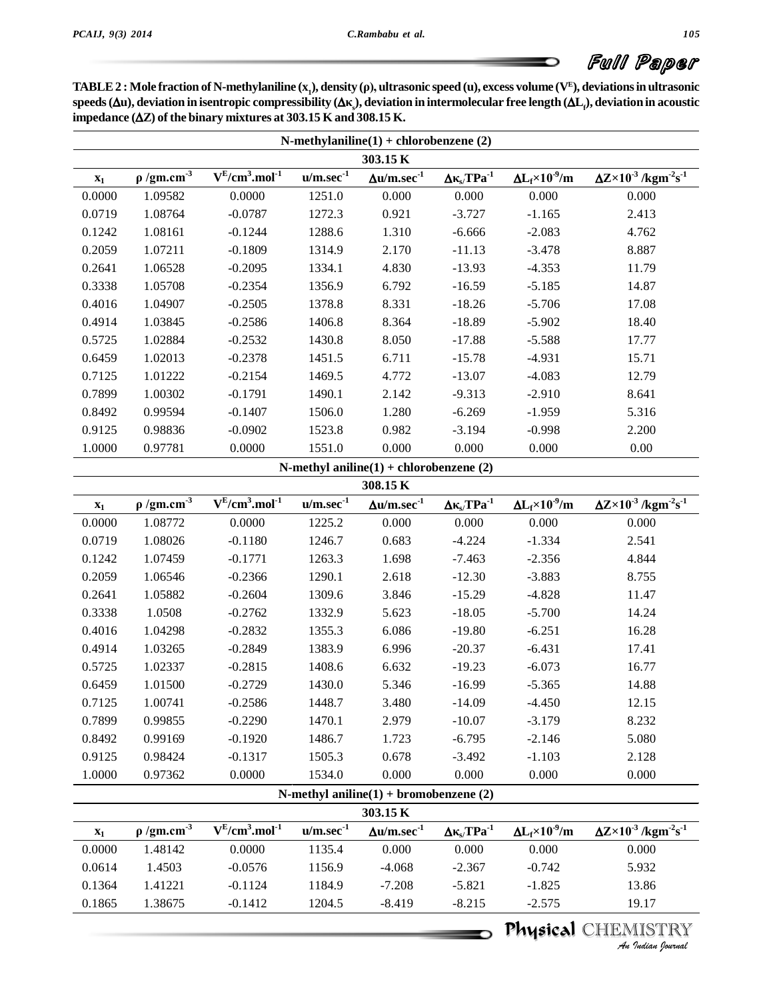**Full Paper**<br>TABLE 2 : Mole fraction of N-methylaniline (x<sub>1</sub>), density (ρ), ultrasonic speed (u), excess volume (V<sup>E</sup>), deviations in ultrasonic TABLE 2 : Mole fraction of N-methylaniline (x<sub>1</sub>), density (ρ), ultrasonic speed (u), excess volume (V<sup>E</sup>), deviations in ultrasonic<br>speeds (Δu), deviation in isentropic compressibility (Δκ<sub>g</sub>), deviation in intermolecula speeds  $(\Delta u)$ , deviation in isentropic compressibility  $(\Delta \kappa)$ , deviation in intermolecular free length  $(\Delta L_f)$ , deviation in acoustic impedance  $(\Delta Z)$  of the binary mixtures at 303.15 K and 308.15 K.

| N-methylaniline $(1)$ + chlorobenzene $(2)$ |                             |                         |             |                                         |                                |                                |                                                              |  |  |  |  |
|---------------------------------------------|-----------------------------|-------------------------|-------------|-----------------------------------------|--------------------------------|--------------------------------|--------------------------------------------------------------|--|--|--|--|
| 303.15 K                                    |                             |                         |             |                                         |                                |                                |                                                              |  |  |  |  |
| $\mathbf{x}_1$                              | $\rho$ /gm.cm <sup>-3</sup> | $V^{E}/cm^{3}.mol^{-1}$ | $u/m/sec-1$ | $\Delta$ u/m.sec <sup>-1</sup>          | $\Delta \kappa_{s} / TPa^{-1}$ | $\Delta L_f \times 10^{-9}$ /m | $\Delta Z \times 10^{-3}$ /kgm <sup>-2</sup> s <sup>-1</sup> |  |  |  |  |
| 0.0000                                      | 1.09582                     | 0.0000                  | 1251.0      | 0.000                                   | 0.000                          | 0.000                          | 0.000                                                        |  |  |  |  |
| 0.0719                                      | 1.08764                     | $-0.0787$               | 1272.3      | 0.921                                   | $-3.727$                       | $-1.165$                       | 2.413                                                        |  |  |  |  |
| 0.1242                                      | 1.08161                     | $-0.1244$               | 1288.6      | 1.310                                   | $-6.666$                       | $-2.083$                       | 4.762                                                        |  |  |  |  |
| 0.2059                                      | 1.07211                     | $-0.1809$               | 1314.9      | 2.170                                   | $-11.13$                       | $-3.478$                       | 8.887                                                        |  |  |  |  |
| 0.2641                                      | 1.06528                     | $-0.2095$               | 1334.1      | 4.830                                   | $-13.93$                       | $-4.353$                       | 11.79                                                        |  |  |  |  |
| 0.3338                                      | 1.05708                     | $-0.2354$               | 1356.9      | 6.792                                   | $-16.59$                       | $-5.185$                       | 14.87                                                        |  |  |  |  |
| 0.4016                                      | 1.04907                     | $-0.2505$               | 1378.8      | 8.331                                   | $-18.26$                       | $-5.706$                       | 17.08                                                        |  |  |  |  |
| 0.4914                                      | 1.03845                     | $-0.2586$               | 1406.8      | 8.364                                   | $-18.89$                       | $-5.902$                       | 18.40                                                        |  |  |  |  |
| 0.5725                                      | 1.02884                     | $-0.2532$               | 1430.8      | 8.050                                   | $-17.88$                       | $-5.588$                       | 17.77                                                        |  |  |  |  |
| 0.6459                                      | 1.02013                     | $-0.2378$               | 1451.5      | 6.711                                   | $-15.78$                       | $-4.931$                       | 15.71                                                        |  |  |  |  |
| 0.7125                                      | 1.01222                     | $-0.2154$               | 1469.5      | 4.772                                   | $-13.07$                       | $-4.083$                       | 12.79                                                        |  |  |  |  |
| 0.7899                                      | 1.00302                     | $-0.1791$               | 1490.1      | 2.142                                   | $-9.313$                       | $-2.910$                       | 8.641                                                        |  |  |  |  |
| 0.8492                                      | 0.99594                     | $-0.1407$               | 1506.0      | 1.280                                   | $-6.269$                       | $-1.959$                       | 5.316                                                        |  |  |  |  |
| 0.9125                                      | 0.98836                     | $-0.0902$               | 1523.8      | 0.982                                   | $-3.194$                       | $-0.998$                       | 2.200                                                        |  |  |  |  |
| 1.0000                                      | 0.97781                     | 0.0000                  | 1551.0      | 0.000                                   | 0.000                          | 0.000                          | 0.00                                                         |  |  |  |  |
|                                             |                             |                         |             | N-methyl aniline(1) + chlorobenzene (2) |                                |                                |                                                              |  |  |  |  |

|                |                             |                         |                | $\Gamma$ is included and $\Gamma$ intervalse $\Gamma$ is $\Gamma$ |                                |                                |                                                              |
|----------------|-----------------------------|-------------------------|----------------|-------------------------------------------------------------------|--------------------------------|--------------------------------|--------------------------------------------------------------|
|                |                             |                         |                | 308.15 K                                                          |                                |                                |                                                              |
| $\mathbf{x}_1$ | $\rho$ /gm.cm <sup>-3</sup> | $V^{E}/cm^{3}.mol^{-1}$ | $u/m/sec-1$    | $\Delta$ u/m.sec <sup>-1</sup>                                    | $\Delta \kappa_{s} T P a^{-1}$ | $\Delta L_f \times 10^{-9}$ /m | $\Delta Z \times 10^{-3}$ /kgm <sup>-2</sup> s <sup>-1</sup> |
| 0.0000         | 1.08772                     | 0.0000                  | 1225.2         | 0.000                                                             | 0.000                          | 0.000                          | 0.000                                                        |
| 0.0719         | 1.08026                     | $-0.1180$               | 1246.7         | 0.683                                                             | $-4.224$                       | $-1.334$                       | 2.541                                                        |
| 0.1242         | 1.07459                     | $-0.1771$               | 1263.3         | 1.698                                                             | $-7.463$                       | $-2.356$                       | 4.844                                                        |
| 0.2059         | 1.06546                     | $-0.2366$               | 1290.1         | 2.618                                                             | $-12.30$                       | $-3.883$                       | 8.755                                                        |
| 0.2641         | 1.05882                     | $-0.2604$               | 1309.6         | 3.846                                                             | $-15.29$                       | $-4.828$                       | 11.47                                                        |
| 0.3338         | 1.0508                      | $-0.2762$               | 1332.9         | 5.623                                                             | $-18.05$                       | $-5.700$                       | 14.24                                                        |
| 0.4016         | 1.04298                     | $-0.2832$               | 1355.3         | 6.086                                                             | $-19.80$                       | $-6.251$                       | 16.28                                                        |
| 0.4914         | 1.03265                     | $-0.2849$               | 1383.9         | 6.996                                                             | $-20.37$                       | $-6.431$                       | 17.41                                                        |
| 0.5725         | 1.02337                     | $-0.2815$               | 1408.6         | 6.632                                                             | $-19.23$                       | $-6.073$                       | 16.77                                                        |
| 0.6459         | 1.01500                     | $-0.2729$               | 1430.0         | 5.346                                                             | $-16.99$                       | $-5.365$                       | 14.88                                                        |
| 0.7125         | 1.00741                     | $-0.2586$               | 1448.7         | 3.480                                                             | $-14.09$                       | $-4.450$                       | 12.15                                                        |
| 0.7899         | 0.99855                     | $-0.2290$               | 1470.1         | 2.979                                                             | $-10.07$                       | $-3.179$                       | 8.232                                                        |
| 0.8492         | 0.99169                     | $-0.1920$               | 1486.7         | 1.723                                                             | $-6.795$                       | $-2.146$                       | 5.080                                                        |
| 0.9125         | 0.98424                     | $-0.1317$               | 1505.3         | 0.678                                                             | $-3.492$                       | $-1.103$                       | 2.128                                                        |
| 1.0000         | 0.97362                     | 0.0000                  | 1534.0         | 0.000                                                             | 0.000                          | 0.000                          | 0.000                                                        |
|                |                             |                         |                | N-methyl aniline $(1)$ + bromobenzene $(2)$                       |                                |                                |                                                              |
|                |                             |                         |                | 303.15 K                                                          |                                |                                |                                                              |
| $X_1$          | $\rho$ /gm.cm <sup>-3</sup> | $V^{E}/cm^{3}.mol^{-1}$ | $u/m/sec^{-1}$ | $\Delta$ u/m.sec <sup>-1</sup>                                    | $\Delta \kappa_{s} T P a^{-1}$ | $\Delta L_f \times 10^{-9}$ /m | $\Delta Z \times 10^{-3}$ /kgm <sup>-2</sup> s <sup>-1</sup> |

| $\mathbf{x}_1$ | $\rho$ /gm.cm <sup>-3</sup> | $V^{E}/cm^{3}.mol^{-1}$ | $u/m/sec^{-1}$ | $\Delta$ u/m.sec <sup>-1</sup> | $\Delta \kappa_{\rm s} / T \text{Pa}^{-1}$ | $\Delta L_f \times 10^{-9}$ /m | $\Delta Z \times 10^{-3}$ /kgm <sup>-2</sup> s <sup>-1</sup> |
|----------------|-----------------------------|-------------------------|----------------|--------------------------------|--------------------------------------------|--------------------------------|--------------------------------------------------------------|
| 0.0000         | 1.48142                     | 0.0000                  | 1135.4         | 0.000                          | 0.000                                      | 0.000                          | 0.000                                                        |
| 0.0614         | 1.4503                      | $-0.0576$               | 1156.9         | $-4.068$                       | $-2.367$                                   | $-0.742$                       | 5.932                                                        |
| 0.1364         | 1.41221                     | $-0.1124$               | 1184.9         | $-7.208$                       | $-5.821$                                   | $-1.825$                       | 13.86                                                        |
| 0.1865         | 1.38675                     | $-0.1412$               | 1204.5         | $-8.419$                       | $-8.215$                                   | $-2.575$                       | 19.17                                                        |
|                |                             |                         |                |                                |                                            |                                | <b>Physical CHEMISTRY</b>                                    |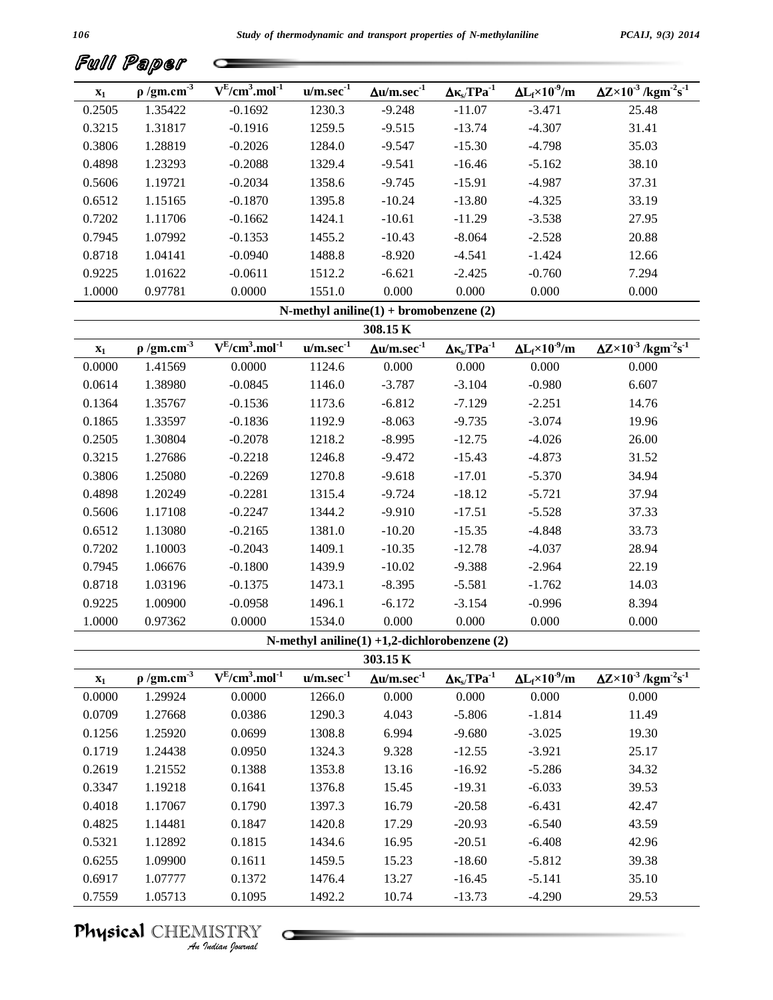| Full Paper |  |
|------------|--|
|            |  |

| Fwll           | Paper                       |                      |             |                                |                                |                               |                                                            |
|----------------|-----------------------------|----------------------|-------------|--------------------------------|--------------------------------|-------------------------------|------------------------------------------------------------|
| $\mathbf{x}_1$ | $\rho$ /gm.cm <sup>-3</sup> | $V^{E}/cm^{3}.mol-1$ | $u/m/sec-1$ | $\Delta$ u/m.sec <sup>-1</sup> | $\Delta \kappa_s / T P a^{-1}$ | $\Delta L_f \times 10^{9}$ /m | $\Delta Z \times 10^{-3}$ /kgm <sup>2</sup> s <sup>1</sup> |
| 0.2505         | 1.35422                     | $-0.1692$            | 1230.3      | $-9.248$                       | $-11.07$                       | $-3.471$                      | 25.48                                                      |
| 0.3215         | 1.31817                     | $-0.1916$            | 1259.5      | $-9.515$                       | $-13.74$                       | $-4.307$                      | 31.41                                                      |
| 0.3806         | 1.28819                     | $-0.2026$            | 1284.0      | $-9.547$                       | $-15.30$                       | $-4.798$                      | 35.03                                                      |
| 0.4898         | 1.23293                     | $-0.2088$            | 1329.4      | $-9.541$                       | $-16.46$                       | $-5.162$                      | 38.10                                                      |
| 0.5606         | 1.19721                     | $-0.2034$            | 1358.6      | $-9.745$                       | $-15.91$                       | $-4.987$                      | 37.31                                                      |
| 0.6512         | 1.15165                     | $-0.1870$            | 1395.8      | $-10.24$                       | $-13.80$                       | $-4.325$                      | 33.19                                                      |
| 0.7202         | 1.11706                     | $-0.1662$            | 1424.1      | $-10.61$                       | $-11.29$                       | $-3.538$                      | 27.95                                                      |
| 0.7945         | 1.07992                     | $-0.1353$            | 1455.2      | $-10.43$                       | $-8.064$                       | $-2.528$                      | 20.88                                                      |
| 0.8718         | 1.04141                     | $-0.0940$            | 1488.8      | $-8.920$                       | $-4.541$                       | $-1.424$                      | 12.66                                                      |
| 0.9225         | 1.01622                     | $-0.0611$            | 1512.2      | $-6.621$                       | $-2.425$                       | $-0.760$                      | 7.294                                                      |
| 1.0000         | 0.97781                     | 0.0000               | 1551.0      | 0.000                          | 0.000                          | 0.000                         | 0.000                                                      |

|  | N-methyl aniline $(1)$ + bromobenzene $(2)$ |  |
|--|---------------------------------------------|--|
|  |                                             |  |

| 308.15K<br>$\rho$ /gm.cm <sup>3</sup><br>$V^{E}/cm^3$ .mol <sup>-1</sup><br>$u/m/sec-1$<br>$\Delta L_f$ ×10 <sup>-9</sup> /m<br>$\Delta$ u/m.sec <sup>-1</sup><br>$\Delta \kappa_{s} T P a^{-1}$<br>$\mathbf{x}_1$<br>0.000<br>0.000<br>0.000<br>0.0000<br>1.41569<br>0.0000<br>1124.6<br>1.38980<br>1146.0<br>$-3.104$<br>0.0614<br>$-0.0845$<br>$-3.787$<br>$-0.980$<br>0.1364<br>1.35767<br>1173.6<br>$-6.812$<br>$-0.1536$<br>$-7.129$<br>$-2.251$ | $\Delta Z \times 10^{-3}$ /kgm <sup>2</sup> s <sup>1</sup> |
|--------------------------------------------------------------------------------------------------------------------------------------------------------------------------------------------------------------------------------------------------------------------------------------------------------------------------------------------------------------------------------------------------------------------------------------------------------|------------------------------------------------------------|
|                                                                                                                                                                                                                                                                                                                                                                                                                                                        |                                                            |
|                                                                                                                                                                                                                                                                                                                                                                                                                                                        |                                                            |
|                                                                                                                                                                                                                                                                                                                                                                                                                                                        | 0.000                                                      |
|                                                                                                                                                                                                                                                                                                                                                                                                                                                        | 6.607                                                      |
|                                                                                                                                                                                                                                                                                                                                                                                                                                                        | 14.76                                                      |
| 0.1865<br>$-0.1836$<br>1192.9<br>$-3.074$<br>1.33597<br>$-8.063$<br>$-9.735$                                                                                                                                                                                                                                                                                                                                                                           | 19.96                                                      |
| 0.2505<br>1.30804<br>1218.2<br>$-8.995$<br>$-0.2078$<br>$-12.75$<br>$-4.026$                                                                                                                                                                                                                                                                                                                                                                           | 26.00                                                      |
| 0.3215<br>1.27686<br>1246.8<br>$-0.2218$<br>$-9.472$<br>$-15.43$<br>$-4.873$                                                                                                                                                                                                                                                                                                                                                                           | 31.52                                                      |
| 0.3806<br>1270.8<br>1.25080<br>$-0.2269$<br>$-9.618$<br>$-17.01$<br>$-5.370$                                                                                                                                                                                                                                                                                                                                                                           | 34.94                                                      |
| 0.4898<br>1.20249<br>1315.4<br>$-0.2281$<br>$-9.724$<br>$-18.12$<br>$-5.721$                                                                                                                                                                                                                                                                                                                                                                           | 37.94                                                      |
| 0.5606<br>1.17108<br>1344.2<br>$-9.910$<br>$-0.2247$<br>$-17.51$<br>$-5.528$                                                                                                                                                                                                                                                                                                                                                                           | 37.33                                                      |
| 1381.0<br>0.6512<br>1.13080<br>$-0.2165$<br>$-10.20$<br>$-15.35$<br>$-4.848$                                                                                                                                                                                                                                                                                                                                                                           | 33.73                                                      |
| 0.7202<br>1.10003<br>$-0.2043$<br>1409.1<br>$-10.35$<br>$-12.78$<br>$-4.037$                                                                                                                                                                                                                                                                                                                                                                           | 28.94                                                      |
| 0.7945<br>$-0.1800$<br>1439.9<br>$-10.02$<br>$-9.388$<br>1.06676<br>$-2.964$                                                                                                                                                                                                                                                                                                                                                                           | 22.19                                                      |
| 0.8718<br>1.03196<br>1473.1<br>$-0.1375$<br>$-8.395$<br>$-5.581$<br>$-1.762$                                                                                                                                                                                                                                                                                                                                                                           | 14.03                                                      |
| 0.9225<br>1.00900<br>1496.1<br>$-6.172$<br>$-0.0958$<br>$-3.154$<br>$-0.996$                                                                                                                                                                                                                                                                                                                                                                           | 8.394                                                      |
| 0.000<br>0.000<br>0.000<br>1.0000<br>0.97362<br>0.0000<br>1534.0                                                                                                                                                                                                                                                                                                                                                                                       | 0.000                                                      |

| 303.15 K       |                             |                         |             |                       |                                |                               |                                                             |  |  |  |
|----------------|-----------------------------|-------------------------|-------------|-----------------------|--------------------------------|-------------------------------|-------------------------------------------------------------|--|--|--|
| $\mathbf{x}_1$ | $\rho$ /gm.cm <sup>-3</sup> | $V^{E}/cm^{3}.mol^{-1}$ | $u/m/sec-1$ | $\Delta u/m/sec^{-1}$ | $\Delta \kappa_{s} T P a^{-1}$ | $\Delta L_f \times 10^{9}$ /m | $\Delta Z \times 10^{3}$ /kgm <sup>-2</sup> s <sup>-1</sup> |  |  |  |
| 0.0000         | 1.29924                     | 0.0000                  | 1266.0      | 0.000                 | 0.000                          | 0.000                         | 0.000                                                       |  |  |  |
| 0.0709         | 1.27668                     | 0.0386                  | 1290.3      | 4.043                 | $-5.806$                       | $-1.814$                      | 11.49                                                       |  |  |  |
| 0.1256         | 1.25920                     | 0.0699                  | 1308.8      | 6.994                 | $-9.680$                       | $-3.025$                      | 19.30                                                       |  |  |  |
| 0.1719         | 1.24438                     | 0.0950                  | 1324.3      | 9.328                 | $-12.55$                       | $-3.921$                      | 25.17                                                       |  |  |  |
| 0.2619         | 1.21552                     | 0.1388                  | 1353.8      | 13.16                 | $-16.92$                       | $-5.286$                      | 34.32                                                       |  |  |  |
| 0.3347         | 1.19218                     | 0.1641                  | 1376.8      | 15.45                 | $-19.31$                       | $-6.033$                      | 39.53                                                       |  |  |  |
| 0.4018         | 1.17067                     | 0.1790                  | 1397.3      | 16.79                 | $-20.58$                       | $-6.431$                      | 42.47                                                       |  |  |  |
| 0.4825         | 1.14481                     | 0.1847                  | 1420.8      | 17.29                 | $-20.93$                       | $-6.540$                      | 43.59                                                       |  |  |  |
| 0.5321         | 1.12892                     | 0.1815                  | 1434.6      | 16.95                 | $-20.51$                       | $-6.408$                      | 42.96                                                       |  |  |  |
| 0.6255         | 1.09900                     | 0.1611                  | 1459.5      | 15.23                 | $-18.60$                       | $-5.812$                      | 39.38                                                       |  |  |  |
| 0.6917         | 1.07777                     | 0.1372                  | 1476.4      | 13.27                 | $-16.45$                       | $-5.141$                      | 35.10                                                       |  |  |  |
| 0.7559         | 1.05713                     | 0.1095                  | 1492.2      | 10.74                 | $-13.73$                       | $-4.290$                      | 29.53                                                       |  |  |  |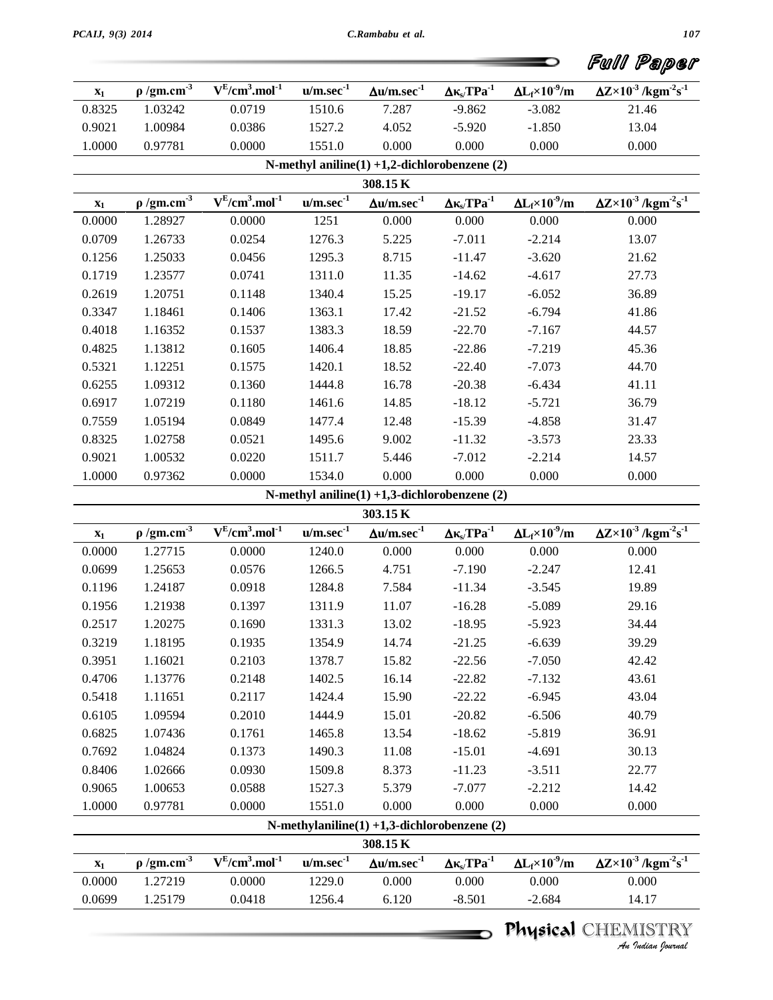|                |                             |                                             |                |                                                         |                                                  |                                | Full Paper                                                   |
|----------------|-----------------------------|---------------------------------------------|----------------|---------------------------------------------------------|--------------------------------------------------|--------------------------------|--------------------------------------------------------------|
| $\mathbf{x}_1$ | $\rho$ /gm.cm <sup>-3</sup> | $V^{E}$ /cm <sup>3</sup> .mol <sup>-1</sup> | $u/m/sec^{-1}$ | $\Delta {\rm u}/{\rm m.sec}^{\rm -1}$                   | $\Delta\kappa_{\text{s}}/\text{TPa}^{\text{-1}}$ | $\Delta L_f \times 10^{-9}$ /m | $\Delta Z \times 10^{-3}$ /kgm <sup>-2</sup> s <sup>-1</sup> |
| 0.8325         | 1.03242                     | 0.0719                                      | 1510.6         | 7.287                                                   | $-9.862$                                         | $-3.082$                       | 21.46                                                        |
| 0.9021         | 1.00984                     | 0.0386                                      | 1527.2         | 4.052                                                   | $-5.920$                                         | $-1.850$                       | 13.04                                                        |
| 1.0000         | 0.97781                     | 0.0000                                      | 1551.0         | 0.000                                                   | 0.000                                            | 0.000                          | 0.000                                                        |
|                |                             |                                             |                | N-methyl aniline(1) +1,2-dichlorobenzene (2)            |                                                  |                                |                                                              |
|                |                             |                                             |                | 308.15K                                                 |                                                  |                                |                                                              |
| $\mathbf{x}_1$ | $\rho$ /gm.cm <sup>-3</sup> | $V^{E}/cm^{3}.mol^{-1}$                     | $u/m/sec-1$    | $\Delta$ u/m.sec <sup>-1</sup>                          | $\Delta \kappa_{s} / TPa^{-1}$                   | $\Delta L_f \times 10^{-9}$ /m | $\Delta Z \times 10^{-3}$ /kgm <sup>-2</sup> s <sup>-1</sup> |
| 0.0000         | 1.28927                     | 0.0000                                      | 1251           | 0.000                                                   | 0.000                                            | 0.000                          | 0.000                                                        |
| 0.0709         | 1.26733                     | 0.0254                                      | 1276.3         | 5.225                                                   | $-7.011$                                         | $-2.214$                       | 13.07                                                        |
| 0.1256         | 1.25033                     | 0.0456                                      | 1295.3         | 8.715                                                   | $-11.47$                                         | $-3.620$                       | 21.62                                                        |
| 0.1719         | 1.23577                     | 0.0741                                      | 1311.0         | 11.35                                                   | $-14.62$                                         | $-4.617$                       | 27.73                                                        |
| 0.2619         | 1.20751                     | 0.1148                                      | 1340.4         | 15.25                                                   | $-19.17$                                         | $-6.052$                       | 36.89                                                        |
| 0.3347         | 1.18461                     | 0.1406                                      | 1363.1         | 17.42                                                   | $-21.52$                                         | $-6.794$                       | 41.86                                                        |
| 0.4018         | 1.16352                     | 0.1537                                      | 1383.3         | 18.59                                                   | $-22.70$                                         | $-7.167$                       | 44.57                                                        |
| 0.4825         | 1.13812                     | 0.1605                                      | 1406.4         | 18.85                                                   | $-22.86$                                         | $-7.219$                       | 45.36                                                        |
| 0.5321         | 1.12251                     | 0.1575                                      | 1420.1         | 18.52                                                   | $-22.40$                                         | $-7.073$                       | 44.70                                                        |
| 0.6255         | 1.09312                     | 0.1360                                      | 1444.8         | 16.78                                                   | $-20.38$                                         | $-6.434$                       | 41.11                                                        |
| 0.6917         | 1.07219                     | 0.1180                                      | 1461.6         | 14.85                                                   | $-18.12$                                         | $-5.721$                       | 36.79                                                        |
| 0.7559         | 1.05194                     | 0.0849                                      | 1477.4         | 12.48                                                   | $-15.39$                                         | $-4.858$                       | 31.47                                                        |
| 0.8325         | 1.02758                     | 0.0521                                      | 1495.6         | 9.002                                                   | $-11.32$                                         | $-3.573$                       | 23.33                                                        |
| 0.9021         | 1.00532                     | 0.0220                                      | 1511.7         | 5.446                                                   | $-7.012$                                         | $-2.214$                       | 14.57                                                        |
| 1.0000         | 0.97362                     | 0.0000                                      | 1534.0         | 0.000                                                   | 0.000                                            | 0.000                          | 0.000                                                        |
|                |                             |                                             |                | N-methyl aniline(1) +1,3-dichlorobenzene (2)            |                                                  |                                |                                                              |
|                |                             |                                             |                | 303.15 K                                                |                                                  |                                |                                                              |
| $\mathbf{x}_1$ | $\rho$ /gm.cm <sup>-3</sup> | $V^{E}/cm^{3}.mol^{-1}$                     | $u/m/sec-1$    | $\Delta \textbf{u}/\textbf{m}.\textbf{sec}^{\text{-1}}$ | $\Delta\kappa_{\text{s}}/\text{TPa}^{\text{-1}}$ | $\Delta L_f \times 10^{-9}$ /m | $\Delta Z \times 10^{-3}$ /kgm <sup>-2</sup> s <sup>-1</sup> |
| 0.0000         | 1.27715                     | 0.0000                                      | 1240.0         | 0.000                                                   | 0.000                                            | 0.000                          | 0.000                                                        |
| 0.0699         | 1.25653                     | 0.0576                                      | 1266.5         | 4.751                                                   | $-7.190$                                         | $-2.247$                       | 12.41                                                        |
| 0.1196         | 1.24187                     | 0.0918                                      | 1284.8         | 7.584                                                   | $-11.34$                                         | $-3.545$                       | 19.89                                                        |
| 0.1956         | 1.21938                     | 0.1397                                      | 1311.9         | 11.07                                                   | $-16.28$                                         | $-5.089$                       | 29.16                                                        |
| 0.2517         | 1.20275                     | 0.1690                                      | 1331.3         | 13.02                                                   | $-18.95$                                         | $-5.923$                       | 34.44                                                        |
| 0.3219         | 1.18195                     | 0.1935                                      | 1354.9         | 14.74                                                   | $-21.25$                                         | $-6.639$                       | 39.29                                                        |
| 0.3951         | 1.16021                     | 0.2103                                      | 1378.7         | 15.82                                                   | $-22.56$                                         | $-7.050$                       | 42.42                                                        |
| 0.4706         | 1.13776                     | 0.2148                                      | 1402.5         | 16.14                                                   | $-22.82$                                         | $-7.132$                       | 43.61                                                        |
| 0.5418         | 1.11651                     | 0.2117                                      | 1424.4         | 15.90                                                   | $-22.22$                                         | $-6.945$                       | 43.04                                                        |
| 0.6105         | 1.09594                     | 0.2010                                      | 1444.9         | 15.01                                                   | $-20.82$                                         | $-6.506$                       | 40.79                                                        |
| 0.6825         | 1.07436                     | 0.1761                                      | 1465.8         | 13.54                                                   | $-18.62$                                         | $-5.819$                       | 36.91                                                        |
| 0.7692         | 1.04824                     | 0.1373                                      | 1490.3         | 11.08                                                   | $-15.01$                                         | $-4.691$                       | 30.13                                                        |
| 0.8406         | 1.02666                     | 0.0930                                      | 1509.8         | 8.373                                                   | $-11.23$                                         | $-3.511$                       | 22.77                                                        |
| 0.9065         | 1.00653                     | 0.0588                                      | 1527.3         | 5.379                                                   | $-7.077$                                         | $-2.212$                       | 14.42                                                        |

|                                             |  |  | 1551.0 | 0.000 | 0.000 | 0.000 | 0.000 |  |  |  |  |
|---------------------------------------------|--|--|--------|-------|-------|-------|-------|--|--|--|--|
| N-methylaniline(1) +1,3-dichlorobenzene (2) |  |  |        |       |       |       |       |  |  |  |  |

| 308.15 K       |                             |                         |                |                       |                                |                                |                                                            |  |
|----------------|-----------------------------|-------------------------|----------------|-----------------------|--------------------------------|--------------------------------|------------------------------------------------------------|--|
| $\mathbf{x}_1$ | $\rho$ /gm.cm <sup>-3</sup> | $V^{E}/cm^{3}.mol^{-1}$ | $u/m/sec^{-1}$ | $\Delta u/m/sec^{-1}$ | $\Delta \kappa_s / T P a^{-1}$ | $\Delta L_f \times 10^{-9}$ /m | $\Delta Z \times 10^{-3}$ /kgm <sup>2</sup> s <sup>1</sup> |  |
| 0.0000         | 1.27219                     | 0.0000                  | 1229.0         | 0.000                 | 0.000                          | 0.000                          | 0.000                                                      |  |
| 0.0699         | 1.25179                     | 0.0418                  | 1256.4         | 6.120                 | $-8.501$                       | $-2.684$                       | 14.17                                                      |  |

# Physical CHEMISTRY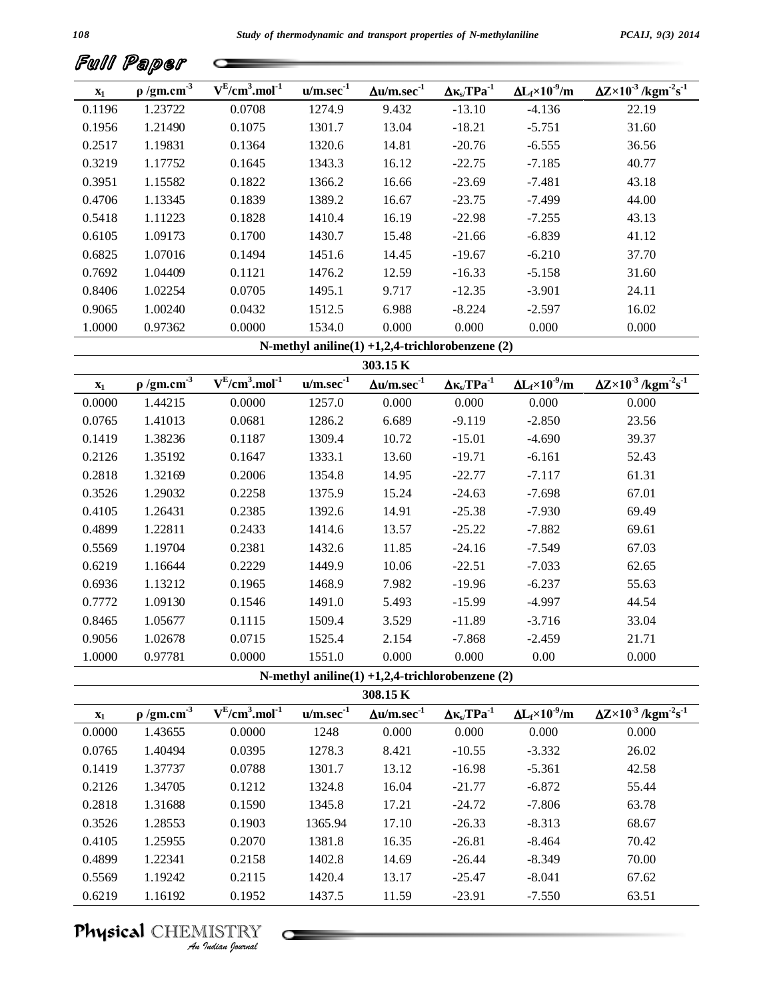|                | Full Paper                  |                         |                |                                                  |                                                  |                                |                                                                            |
|----------------|-----------------------------|-------------------------|----------------|--------------------------------------------------|--------------------------------------------------|--------------------------------|----------------------------------------------------------------------------|
| $\mathbf{x}_1$ | $\rho$ /gm.cm <sup>-3</sup> | $V^{E}/cm^{3}.mol^{-1}$ | $u/m/sec-1$    | $\Delta {\rm u}/{\rm m.sec}^{\rm -1}$            | $\Delta\kappa_{\text{s}}/\text{TPa}^{\text{-1}}$ | $\Delta L_f \times 10^{-9}$ /m | $\Delta Z \times 10^{-3}$ /kgm <sup>-2</sup> s <sup>-1</sup>               |
| 0.1196         | 1.23722                     | 0.0708                  | 1274.9         | 9.432                                            | $-13.10$                                         | $-4.136$                       | 22.19                                                                      |
| 0.1956         | 1.21490                     | 0.1075                  | 1301.7         | 13.04                                            | $-18.21$                                         | $-5.751$                       | 31.60                                                                      |
| 0.2517         | 1.19831                     | 0.1364                  | 1320.6         | 14.81                                            | $-20.76$                                         | $-6.555$                       | 36.56                                                                      |
| 0.3219         | 1.17752                     | 0.1645                  | 1343.3         | 16.12                                            | $-22.75$                                         | $-7.185$                       | 40.77                                                                      |
| 0.3951         | 1.15582                     | 0.1822                  | 1366.2         | 16.66                                            | $-23.69$                                         | $-7.481$                       | 43.18                                                                      |
| 0.4706         | 1.13345                     | 0.1839                  | 1389.2         | 16.67                                            | $-23.75$                                         | $-7.499$                       | 44.00                                                                      |
| 0.5418         | 1.11223                     | 0.1828                  | 1410.4         | 16.19                                            | $-22.98$                                         | $-7.255$                       | 43.13                                                                      |
| 0.6105         | 1.09173                     | 0.1700                  | 1430.7         | 15.48                                            | $-21.66$                                         | $-6.839$                       | 41.12                                                                      |
| 0.6825         | 1.07016                     | 0.1494                  | 1451.6         | 14.45                                            | $-19.67$                                         | $-6.210$                       | 37.70                                                                      |
| 0.7692         | 1.04409                     | 0.1121                  | 1476.2         | 12.59                                            | $-16.33$                                         | $-5.158$                       | 31.60                                                                      |
| 0.8406         | 1.02254                     | 0.0705                  | 1495.1         | 9.717                                            | $-12.35$                                         | $-3.901$                       | 24.11                                                                      |
| 0.9065         | 1.00240                     | 0.0432                  | 1512.5         | 6.988                                            | $-8.224$                                         | $-2.597$                       | 16.02                                                                      |
| 1.0000         | 0.97362                     | 0.0000                  | 1534.0         | 0.000                                            | 0.000                                            | 0.000                          | 0.000                                                                      |
|                |                             |                         |                | N-methyl aniline(1) +1,2,4-trichlorobenzene (2)  |                                                  |                                |                                                                            |
|                |                             |                         |                | 303.15 K                                         |                                                  |                                |                                                                            |
| $\mathbf{x}_1$ | $\rho$ /gm.cm <sup>-3</sup> | $V^{E}/cm^{3}.mol^{-1}$ | $u/m/sec^{-1}$ | $\Delta$ u/m.sec <sup>-1</sup>                   | $\Delta \kappa_{s}$ TPa <sup>-1</sup>            | $\Delta L_f \times 10^{-9}$ /m | $\overline{\Delta Z}$ ×10 <sup>-3</sup> /kgm <sup>-2</sup> s <sup>-1</sup> |
| 0.0000         | 1.44215                     | 0.0000                  | 1257.0         | 0.000                                            | 0.000                                            | 0.000                          | 0.000                                                                      |
| 0.0765         | 1.41013                     | 0.0681                  | 1286.2         | 6.689                                            | $-9.119$                                         | $-2.850$                       | 23.56                                                                      |
| 0.1419         | 1.38236                     | 0.1187                  | 1309.4         | 10.72                                            | $-15.01$                                         | $-4.690$                       | 39.37                                                                      |
| 0.2126         | 1.35192                     | 0.1647                  | 1333.1         | 13.60                                            | $-19.71$                                         | $-6.161$                       | 52.43                                                                      |
| 0.2818         | 1.32169                     | 0.2006                  | 1354.8         | 14.95                                            | $-22.77$                                         | $-7.117$                       | 61.31                                                                      |
| 0.3526         | 1.29032                     | 0.2258                  | 1375.9         | 15.24                                            | $-24.63$                                         | $-7.698$                       | 67.01                                                                      |
| 0.4105         | 1.26431                     | 0.2385                  | 1392.6         | 14.91                                            | $-25.38$                                         | $-7.930$                       | 69.49                                                                      |
| 0.4899         | 1.22811                     | 0.2433                  | 1414.6         | 13.57                                            | $-25.22$                                         | $-7.882$                       | 69.61                                                                      |
| 0.5569         | 1.19704                     | 0.2381                  | 1432.6         | 11.85                                            | $-24.16$                                         | $-7.549$                       | 67.03                                                                      |
| 0.6219         | 1.16644                     | 0.2229                  | 1449.9         | 10.06                                            | $-22.51$                                         | $-7.033$                       | 62.65                                                                      |
| 0.6936         | 1.13212                     | 0.1965                  | 1468.9         | 7.982                                            | $-19.96$                                         | $-6.237$                       | 55.63                                                                      |
| 0.7772         | 1.09130                     | 0.1546                  | 1491.0         | 5.493                                            | $-15.99$                                         | $-4.997$                       | 44.54                                                                      |
| 0.8465         | 1.05677                     | 0.1115                  | 1509.4         | 3.529                                            | $-11.89$                                         | $-3.716$                       | 33.04                                                                      |
| 0.9056         | 1.02678                     | 0.0715                  | 1525.4         | 2.154                                            | $-7.868$                                         | $-2.459$                       | 21.71                                                                      |
| 1.0000         | 0.97781                     | 0.0000                  | 1551.0         | 0.000                                            | 0.000                                            | 0.00                           | 0.000                                                                      |
|                |                             |                         |                | N-methyl aniline(1) +1,2,4-trichlorobenzene (2)  |                                                  |                                |                                                                            |
|                |                             |                         |                | 308.15 K                                         |                                                  |                                |                                                                            |
| $\mathbf{x}_1$ | $\rho$ /gm.cm <sup>3</sup>  | $V^{E}/cm^{3}.mol^{-1}$ | $u/m/sec-1$    | $\Delta {\rm u}/{\rm m} . {\rm sec}^{\text{-1}}$ | $\Delta \kappa_{s} / TPa^{-1}$                   | $\Delta L_f \times 10^{-9}$ /m | $\Delta Z \times 10^{-3}$ /kgm <sup>-2</sup> s <sup>-1</sup>               |
| 0.0000         | 1.43655                     | 0.0000                  | 1248           | 0.000                                            | 0.000                                            | 0.000                          | 0.000                                                                      |
| 0.0765         | 1.40494                     | 0.0395                  | 1278.3         | 8.421                                            | $-10.55$                                         | $-3.332$                       | 26.02                                                                      |
| 0.1419         | 1.37737                     | 0.0788                  | 1301.7         | 13.12                                            | $-16.98$                                         | $-5.361$                       | 42.58                                                                      |
| 0.2126         | 1.34705                     | 0.1212                  | 1324.8         | 16.04                                            | $-21.77$                                         | $-6.872$                       | 55.44                                                                      |
| 0.2818         | 1.31688                     | 0.1590                  | 1345.8         | 17.21                                            | $-24.72$                                         | $-7.806$                       | 63.78                                                                      |

0.3526 1.28553 0.1903 1365.94 17.10 -26.33 -8.313 68.67 0.4105 1.25955 0.2070 1381.8 16.35 -26.81 -8.464 70.42 0.4899 1.22341 0.2158 1402.8 14.69 -26.44 -8.349 70.00 0.5569 1.19242 0.2115 1420.4 13.17 -25.47 -8.041 67.62

0.6219 1.16192 0.1952 1437.5 11.59 -23.91 -7.550 63.51

0.2070<br>
0.2158<br>
0.2115<br>
<u>IISTRY</u><br>
<u>IISTRY</u> Physical CHEMISTRY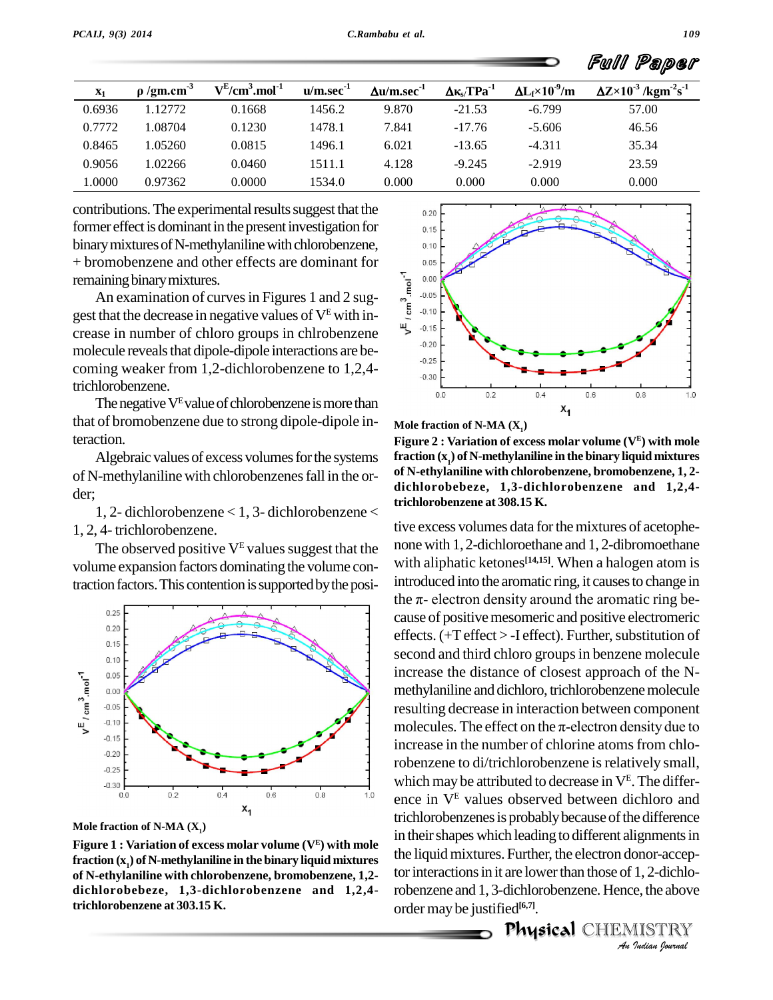|                |                             |                         |                |                       |                                |                                | Paper<br>Fwll                                                |
|----------------|-----------------------------|-------------------------|----------------|-----------------------|--------------------------------|--------------------------------|--------------------------------------------------------------|
| $\mathbf{x}_1$ | $\rho$ /gm.cm <sup>-3</sup> | $V^{E}/cm^{3}.mol^{-1}$ | $u/m/sec^{-1}$ | $\Delta u/m/sec^{-1}$ | $\Delta \kappa_{s} / TPa^{-1}$ | $\Delta L_f \times 10^{-9}$ /m | $\Delta Z \times 10^{-3}$ /kgm <sup>-2</sup> s <sup>-1</sup> |
| 0.6936         | 1.12772                     | 0.1668                  | 1456.2         | 9.870                 | $-21.53$                       | $-6.799$                       | 57.00                                                        |
| 0.7772         | 1.08704                     | 0.1230                  | 1478.1         | 7.841                 | $-17.76$                       | $-5.606$                       | 46.56                                                        |
| 0.8465         | 1.05260                     | 0.0815                  | 1496.1         | 6.021                 | $-13.65$                       | $-4.311$                       | 35.34                                                        |
| 0.9056         | 1.02266                     | 0.0460                  | 1511.1         | 4.128                 | $-9.245$                       | $-2.919$                       | 23.59                                                        |
| 1.0000         | 0.97362                     | 0.0000                  | 1534.0         | 0.000                 | 0.000                          | 0.000                          | 0.000                                                        |

contributions. The experimental results suggest that the  $_{0.20}$ former effect is dominant in the present investigation for binary mixtures of N-methylaniline with chlorobenzene, + bromobenzene and other effects are dominant for<br>remaining binary mixtures.<br>An examination of curves in Figures 1 and 2 sug-<br>gest that the decrease in peoptive values of  $V^E$  with inremaining binary mixtures.

An examination of curves in Figures 1 and 2 suggest that the decrease in negative values of  $V^E$  with in-<br>crease in number of chloro groups in chlrobenzene molecule reveals that dipole-dipole interactions are becoming weaker from 1,2-dichlorobenzene to 1,2,4 trichlorobenzene.

The negative  $V<sup>E</sup>$  value of chlorobenzene is more than that of bromobenzene due to strong dipole-dipole interaction.

Algebraic values of excess volumes for the systems of N-methylanilinewith chlorobenzenesfall in the or der;

1, 2- dichlorobenzene < 1, 3- dichlorobenzene < 1, 2, 4- trichlorobenzene.



The observed positive  $V^E$  values suggest that the

**Mole fraction of N-MA (X1)**

**Figure 1 :** Variation of excess molar volume ( $V<sup>E</sup>$ ) with mole  $\frac{1}{2}$ **fraction (x1) of N-methylaniline in the binary liquid mixtures of N-ethylaniline with chlorobenzene, bromobenzene, 1,2 dichlorobebeze, 1,3-dichlorobenzene and 1,2,4 trichlorobenzene at 303.15 K.**



**Mole fraction of N-MA (X1)**

**Figure 2 : Variation of excess molar volume (V<sup>E</sup> ) with mole fraction (x1) of N-methylaniline in the binary liquid mixtures of N-ethylaniline with chlorobenzene, bromobenzene, 1, 2 dichlorobebeze, 1,3-dichlorobenzene and 1,2,4 trichlorobenzene at 308.15 K.**

in their shapes which leading to different alignments in *Ignments in*<br>
onor-accep-<br> *I*, 2-dichlo-<br> *I* ISTRY<br> *ISTRY* tive excess volumes data for the mixtures of acetophenonewith 1, 2-dichloroethane and 1, 2-dibromoethane with aliphatic ketones<sup>[14,15]</sup>. When a halogen atom is<br>introduced into the aromatic ring, it causes to change in<br>the  $\pi$ - electron density around the aromatic ring beintroduced into the aromatic ring, it causes to change in cause of positive mesomeric and positive electromeric effects.  $(+T$  effect  $>$  -I effect). Further, substitution of second and third chloro groups in benzene molecule increase the distance of closest approach of the N methylaniline and dichloro, trichlorobenzene molecule resulting decrease in interaction between component methylaniline and dichloro, trichlorobenzene molecule<br>resulting decrease in interaction between component<br>molecules. The effect on the π-electron density due to increase in the number of chlorine atoms from chlorobenzene to di/trichlorobenzene is relatively small, which may be attributed to decrease in  $V^E$ . The difference in V<sup>E</sup> values observed between dichloro and trichlorobenzenes is probably because of the difference the liquid mixtures. Further, the electron donor-acceptor interactions in it are lower than those of 1, 2-dichlorobenzene and 1, 3-dichlorobenzene. Hence, the above order maybe justified **[6,7]**.

eu<br>Physical CHEMISTRY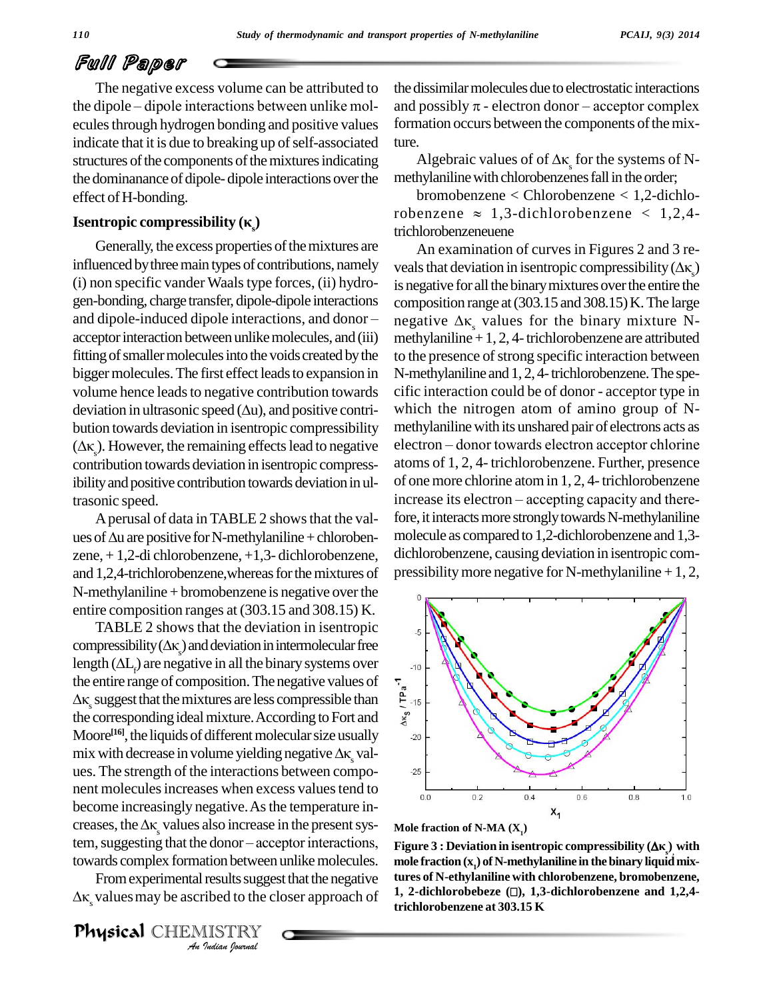The negative excess volume can be attributed to the dipole – dipole interactions between unlike molecules through hydrogen bonding and positive values indicate that it is due to breaking up of self-associated ture. structures of the components of the mixtures indicating Algebraic values of of  $\Delta \kappa$  for the systems of Nthe dominanance of dipole-dipole interactions over the methylaniline with chlorobenzenes fall in the order; effect of H-bonding.

## **Isentropic compressibility**  $(K_n)$

Generally, the excess properties of the mixtures are influenced by three main types of contributions, namely (i) non specific vanderWaalstype forces, (ii) hydro gen-bonding, charge transfer, dipole-dipole interactions (i) non specific vander Waals type forces, (ii) hydro-<br>gen-bonding, charge transfer, dipole-dipole interactions compo<br>and dipole-induced dipole interactions, and donor – negati acceptor interaction between unlike molecules, and (iii) methylaniline  $+1, 2, 4$ -trichlorobenzene are attributed fitting of smaller molecules into the voids created by the bigger molecules. The first effect leads to expansion in N-meth volume hence leads to negative contribution towards cific in deviation in ultrasonic speed  $(\Delta u)$ , and positive contri-<br>which volume hence leads to negative contribution towards bution towards deviation in isentropic compressibility deviation in ultrasonic speed ( $\Delta u$ ), and positive contribution towards deviation in isentropic compressibility ( $\Delta \kappa$ ). However, the remaining effects lead to negative contribution towards deviation in isentropic compressibility and positive contribution towards deviation in ultrasonic speed.

Aperusal of data in TABLE 2 showsthat the val ues of  $\Delta u$  are positive for N-methylaniline + chlorobenzene, + 1,2-di chlorobenzene, +1,3- dichlorobenzene, and 1,2,4-trichlorobenzene, whereas for the mixtures of  $N$ -methylaniline + bromobenzene is negative over the entire composition ranges at(303.15 and 308.15) K.

TABLE 2 shows that the deviation in isentropic entire composition ranges at (303.15 and 308.15) K.<br>
TABLE 2 shows that the deviation in iscntropic<br>
compressibility( $\Delta \kappa_s$ ) and deviation in intermolecular free TABLE 2 shows that the deviation in isentropic<br>compressibility ( $\Delta \kappa_s$ ) and deviation in intermolecular free<br>length ( $\Delta L_f$ ) are negative in all the binary systems over the entire range of composition. The negative values of<br>  $\Delta K_s$  suggest that the mixtures are less compressible than<br>
the corresponding ideal mixture. According to Fort and length  $(\Delta L_e)$  are negative in all the binary systems over  $\Delta \kappa$  suggest that the mixtures are less compressible than the corresponding ideal mixture. According to Fort and<br>Moore<sup>[16]</sup>, the liquids of different molecular size usually<br>mix with decrease in volume yielding negative  $\Delta \kappa_s$  val-<br>ues. The strength of the interactions between Moore<sup>[16]</sup>, the liquids of different molecular size usually  $\qquad 20 \mid$ nent molecules increases when excess values tend to become increasingly negative. As the temperature increases, the  $\Delta\kappa$  values also increase in the present sysbecome increasingly negative. As the temperature in-<br>creases, the  $\Delta \kappa_s$  values also increase in the present sys-<br>tem, suggesting that the donor – acceptor interactions, towards complex formation between unlike molecules. mo

*Ana Indian*<br>*Ana Indian Indian*<br>*Ana Islam Journal*<br>*Ana Indiana Upurnal* From experimental results suggest that the negative  $\Delta \kappa$  values may be ascribed to the closer approach of

Physical CHEMISTRY

the dissimilar molecules due to electrostatic interactions and possibly  $\pi$  - electron donor – acceptor complex formation occurs between the components of the mix-<br>ture.<br>Algebraic values of of  $\Delta \kappa_s$  for the systems of N-<br>methylaniline with chlorobenzenes fall in the order;

bromobenzene < Chlorobenzene < 1,2-dichlorobenzene  $\approx 1,3$ -dichlorobenzene  $\lt 1,2,4$ trichlorobenzeneuene

An examination of curves in Figures 2 and 3 re veals that deviation in isentropic compressibility ( $\Delta\kappa$ ) is negative for all the binary mixtures over the entire the<br>composition range at (303.15 and 308.15) K. The large<br>negative  $\Delta \kappa_s$  values for the binary mixture N-<br>methylaniline + 1, 2, 4- trichlorobenzene are attributed composition range at  $(303.15 \text{ and } 308.15)$  K. The large to the presence of strong specific interaction between N-methylaniline and 1, 2, 4-trichlorobenzene. The specific interaction could be of donor - acceptor type in which the nitrogen atom of amino group of Nmethylaniline with its unshared pair of electrons acts as electron - donor towards electron acceptor chlorine atoms of 1, 2, 4- trichlorobenzene. Further, presence of one more chlorine atom in 1, 2, 4-trichlorobenzene increase its electron – accepting capacity and therefore, it interacts more strongly towards N-methylaniline molecule as compared to 1,2-dichlorobenzene and 1,3 dichlorobenzene, causing deviation in isentropic com pressibility more negative for N-methylaniline  $+1, 2,$ 





**Figure 3** : Deviation in isentropic compressibility  $(\Delta \kappa_s)$  with **mole** fraction  $(x_1)$  of N-methylaniline in the binary liquid mix**tures of N-ethylaniline with chlorobenzene, bromobenzene, 1, 2-dichlorobebeze (), 1,3-dichlorobenzene and 1,2,4 trichlorobenzene at 303.15 K**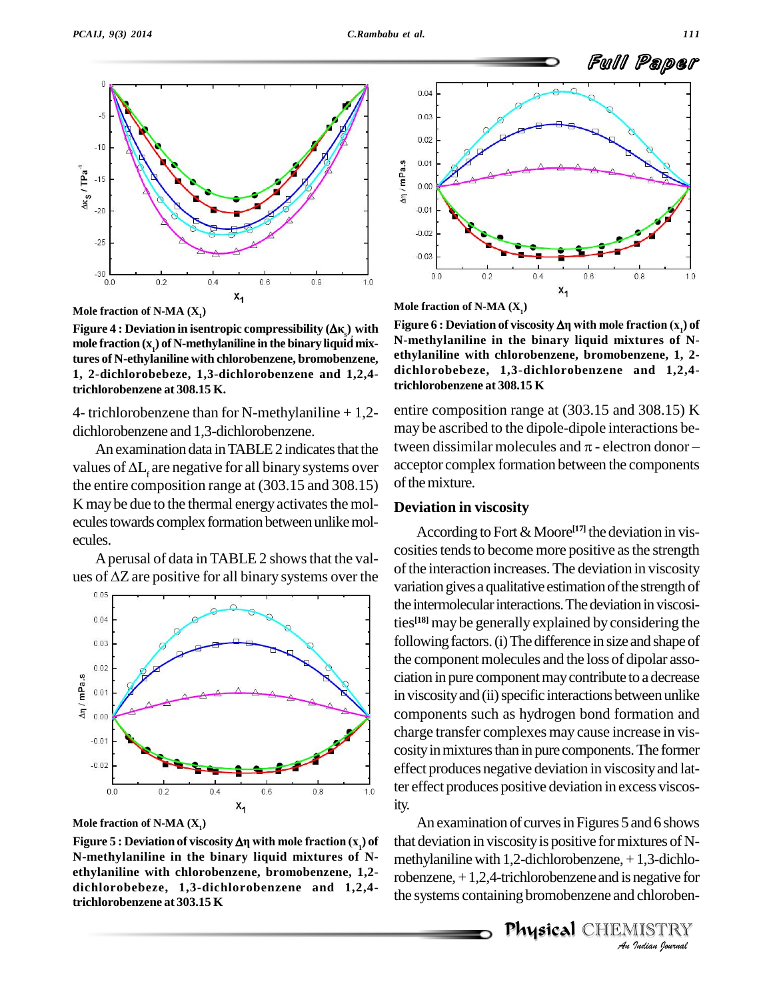

**Mole fraction of N-MA (X1)**

**Figure 4 : Deviation in isentropic compressibility (** $\Delta \kappa$ **<sub>s</sub>) with Figure**<br>Figure 4 : Deviation in isentropic compressibility ( $\Delta \kappa$ <sub>s</sub>) with Figure **mole** fraction  $(x)$  of N-methylaniline in the binary liquid mix**tures of N-ethylaniline with chlorobenzene, bromobenzene, 1, 2-dichlorobebeze, 1,3-dichlorobenzene and 1,2,4 trichlorobenzene at 308.15 K.**

4- trichlorobenzene than for N-methylaniline  $+1,2$ dichlorobenzene and 1,3-dichlorobenzene.

values of  $\Delta L_i$  are negative for all binary systems over the entire composition range at (303.15 and 308.15) K may be due to the thermal energy activates the molecules towards complex formation between unlike molecules.

Aperusal of data in TABLE 2 showsthat the val ues of  $\Delta Z$  are positive for all binary systems over the



**Mole fraction of N-MA (X1)**

**N-methylaniline in the binary liquid mixtures of N ethylaniline with chlorobenzene, bromobenzene, 1,2 dichlorobebeze, 1,3-dichlorobenzene and 1,2,4 trichlorobenzene at 303.15 K**





**N-methylaniline in the binary liquid mixtures of N ethylaniline with chlorobenzene, bromobenzene, 1, 2 dichlorobebeze, 1,3-dichlorobenzene and 1,2,4 trichlorobenzene at 308.15 K**

An examination data in TABLE 2 indicates that the tween dissimilar molecules and  $\pi$  - electron donorentire composition range at (303.15 and 308.15) K<br>may be ascribed to the dipole-dipole interactions be-<br>tween dissimilar molecules and  $\pi$  - electron donor – may be ascribed to the dipole-dipole interactions beacceptor complex formation between the components of the mixture.

### **Deviation in viscosity**

According to Fort&Moore **[17]** the deviation in vis cosities tends to become more positive as the strength of the interaction increases. The deviation in viscosity variation gives a qualitative estimation of the strength of the intermolecular interactions. The deviation in viscosities **[18]** may be generally explained by considering the following factors. (i) The difference in size and shape of the component molecules and the loss of dipolar association in pure componentmaycontribute to a decrease in viscosity and (ii) specific interactions between unlike components such as hydrogen bond formation and charge transfer complexes may cause increase in vis cosity in mixtures than in pure components. The former effect produces negative deviation in viscosityand latter effect produces positive deviation in excess viscosity.

*An*that deviation in viscosityis positive formixtures ofN- *I*<br>*I*,3-dichlo-<br>negative for<br>*I* ISTRY<br>IISTRY An examination of curves in Figures 5 and 6 shows methylaniline with  $1,2$ -dichlorobenzene,  $+1,3$ -dichlorobenzene,+1,2,4-trichlorobenzene and is negative for the systems containing bromobenzene and chloroben-

Physical CHEMISTRY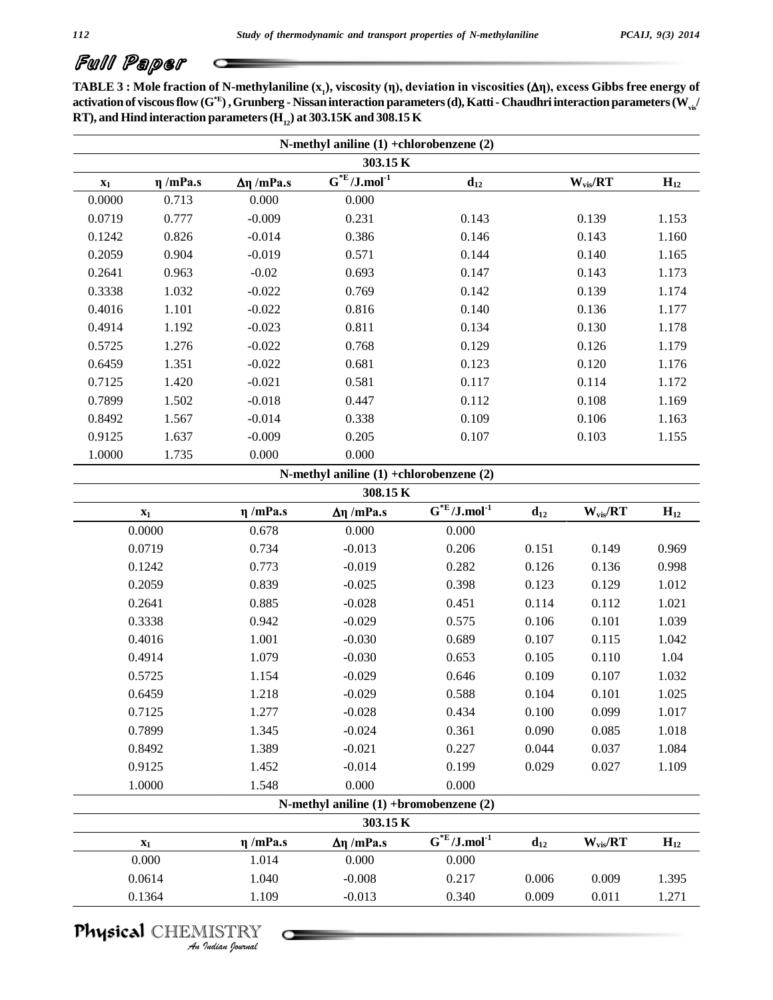TABLE 3 : Mole fraction of N-methylaniline  $(x_1)$ , viscosity  $(\eta)$ , deviation in viscosities  $(\Delta \eta)$ , excess Gibbs free energy of **activation of viscousflow (G\*E ),Grunberg - Nissaninteraction parameters(d),Katti- Chaudhri interaction parameters(Wvis/ RT**), and **Hind** interaction parameters ( $H$ <sup>12</sup><sub>12</sub>) at 303.15K and 308.15 K

| $\mathbf{x}_1$ | $\eta$ /mPa.s  | $Δη$ /mPa.s   | $\overline{G^{*E}/J.mol}^{-1}$              | $d_{12}$                                 |          | $W_{vis}/RT$ | $H_{12}$ |
|----------------|----------------|---------------|---------------------------------------------|------------------------------------------|----------|--------------|----------|
| 0.0000         | 0.713          | 0.000         | 0.000                                       |                                          |          |              |          |
| 0.0719         | 0.777          | $-0.009$      | 0.231                                       | 0.143                                    |          | 0.139        | 1.153    |
| 0.1242         | 0.826          | $-0.014$      | 0.386                                       | 0.146                                    |          | 0.143        | 1.160    |
| 0.2059         | 0.904          | $-0.019$      | 0.571                                       | 0.144                                    |          | 0.140        | 1.165    |
| 0.2641         | 0.963          | $-0.02$       | 0.693                                       | 0.147                                    |          | 0.143        | 1.173    |
| 0.3338         | 1.032          | $-0.022$      | 0.769                                       | 0.142                                    |          | 0.139        | 1.174    |
| 0.4016         | 1.101          | $-0.022$      | 0.816                                       | 0.140                                    |          | 0.136        | 1.177    |
| 0.4914         | 1.192          | $-0.023$      | 0.811                                       | 0.134                                    |          | 0.130        | 1.178    |
| 0.5725         | 1.276          | $-0.022$      | 0.768                                       | 0.129                                    |          | 0.126        | 1.179    |
| 0.6459         | 1.351          | $-0.022$      | 0.681                                       | 0.123                                    |          | 0.120        | 1.176    |
| 0.7125         | 1.420          | $-0.021$      | 0.581                                       | 0.117                                    |          | 0.114        | 1.172    |
| 0.7899         | 1.502          | $-0.018$      | 0.447                                       | 0.112                                    |          | 0.108        | 1.169    |
| 0.8492         | 1.567          | $-0.014$      | 0.338                                       | 0.109                                    |          | 0.106        | 1.163    |
| 0.9125         | 1.637          | $-0.009$      | 0.205                                       | 0.107                                    |          | 0.103        | 1.155    |
| 1.0000         | 1.735          | 0.000         | 0.000                                       |                                          |          |              |          |
|                |                |               | N-methyl aniline $(1)$ +chlorobenzene $(2)$ |                                          |          |              |          |
|                |                |               | 308.15K                                     |                                          |          |              |          |
|                | $\mathbf{x}_1$ | $\eta$ /mPa.s | $Δη$ /mPa.s                                 | $\overline{G}^{*E}/J$ .mol <sup>-1</sup> | $d_{12}$ | $W_{vis}/RT$ | $H_{12}$ |
|                | 0.0000         | 0.678         | 0.000                                       | 0.000                                    |          |              |          |
|                | 0.0719         | 0.734         | $-0.013$                                    | 0.206                                    | 0.151    | 0.149        | 0.969    |
|                | 0.1242         | 0.773         | $-0.019$                                    | 0.282                                    | 0.126    | 0.136        | 0.998    |
|                | 0.2059         | 0.839         | $-0.025$                                    | 0.398                                    | 0.123    | 0.129        | 1.012    |
|                | 0.2641         | 0.885         | $-0.028$                                    | 0.451                                    | 0.114    | 0.112        | 1.021    |
|                | 0.3338         | 0.942         | $-0.029$                                    | 0.575                                    | 0.106    | 0.101        | 1.039    |
|                | 0.4016         | 1.001         | $-0.030$                                    | 0.689                                    | 0.107    | 0.115        | 1.042    |
|                | 0.4914         | 1.079         | $-0.030$                                    | 0.653                                    | 0.105    | 0.110        | 1.04     |
|                | 0.5725         | 1.154         | $-0.029$                                    | 0.646                                    | 0.109    | 0.107        | 1.032    |
|                | 0.6459         | 1.218         | $-0.029$                                    | 0.588                                    | 0.104    | 0.101        | 1.025    |
|                | 0.7125         | 1.277         | $-0.028$                                    | 0.434                                    | 0.100    | 0.099        | 1.017    |
|                | 0.7899         | 1.345         | $-0.024$                                    | 0.361                                    | 0.090    | 0.085        | 1.018    |
|                | 0.8492         | 1.389         | $-0.021$                                    | 0.227                                    | 0.044    | 0.037        | 1.084    |
|                | 0.9125         | 1.452         | $-0.014$                                    | 0.199                                    | 0.029    | 0.027        | 1.109    |
|                | 1.0000         | 1.548         | 0.000                                       | 0.000                                    |          |              |          |
|                |                |               | N-methyl aniline $(1)$ +bromobenzene $(2)$  |                                          |          |              |          |
|                |                |               | 303.15 K                                    |                                          |          |              |          |
|                | $\mathbf{x}_1$ | $\eta$ /mPa.s | $\Delta \eta$ /mPa.s                        | $G^*E/J$ .mol <sup>-1</sup>              | $d_{12}$ | $W_{vis}/RT$ | $H_{12}$ |
|                | 0.000          | 1.014         | 0.000                                       | 0.000                                    |          |              |          |
|                | 0.0614         | 1.040         | $-0.008$                                    | 0.217                                    | 0.006    | 0.009        | 1.395    |
|                | 0.1364         | 1.109         | $-0.013$                                    | 0.340                                    | 0.009    | 0.011        | 1.271    |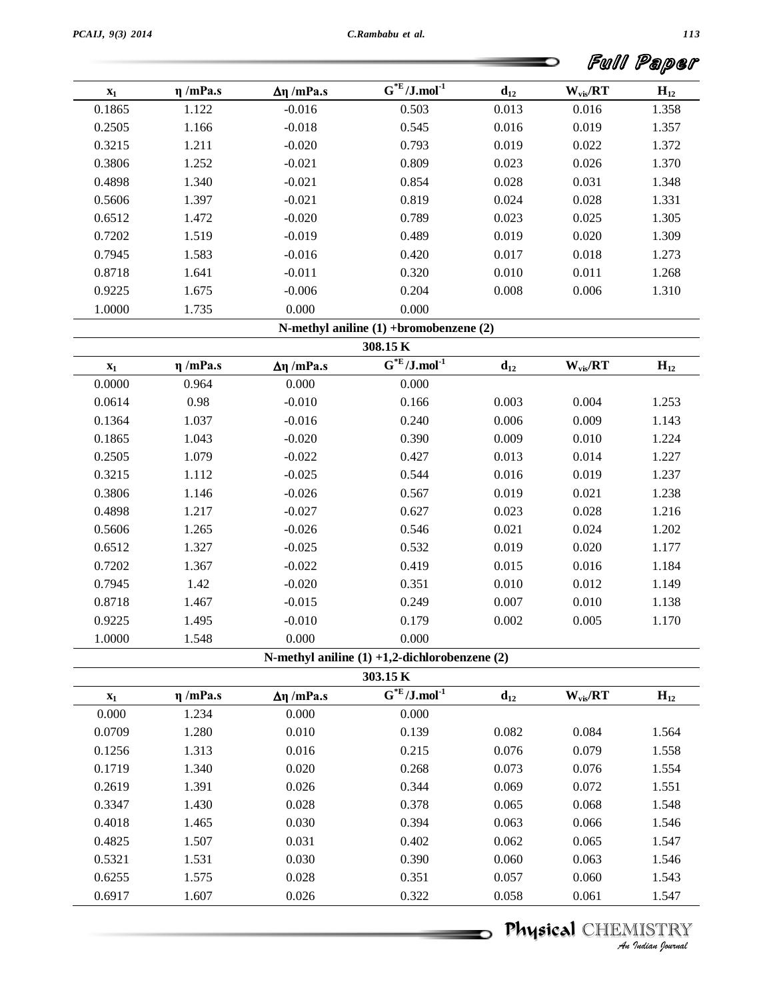|        |               |                      |                                        |          | Full         | Paper    |
|--------|---------------|----------------------|----------------------------------------|----------|--------------|----------|
| $X_1$  | $\eta$ /mPa.s | $\Delta \eta$ /mPa.s | $\overline{G}^*E/J$ .mol <sup>-1</sup> | $d_{12}$ | $W_{vis}/RT$ | $H_{12}$ |
| 0.1865 | 1.122         | $-0.016$             | 0.503                                  | 0.013    | 0.016        | 1.358    |
| 0.2505 | 1.166         | $-0.018$             | 0.545                                  | 0.016    | 0.019        | 1.357    |
| 0.3215 | 1.211         | $-0.020$             | 0.793                                  | 0.019    | 0.022        | 1.372    |
| 0.3806 | 1.252         | $-0.021$             | 0.809                                  | 0.023    | 0.026        | 1.370    |
| 0.4898 | 1.340         | $-0.021$             | 0.854                                  | 0.028    | 0.031        | 1.348    |
| 0.5606 | 1.397         | $-0.021$             | 0.819                                  | 0.024    | 0.028        | 1.331    |
| 0.6512 | 1.472         | $-0.020$             | 0.789                                  | 0.023    | 0.025        | 1.305    |
| 0.7202 | 1.519         | $-0.019$             | 0.489                                  | 0.019    | 0.020        | 1.309    |
| 0.7945 | 1.583         | $-0.016$             | 0.420                                  | 0.017    | 0.018        | 1.273    |
| 0.8718 | 1.641         | $-0.011$             | 0.320                                  | 0.010    | 0.011        | 1.268    |
| 0.9225 | 1.675         | $-0.006$             | 0.204                                  | 0.008    | 0.006        | 1.310    |
| 1.0000 | 1.735         | 0.000                | 0.000                                  |          |              |          |

|  |  |  | N-methyl aniline (1) +bromobenzene (2) |  |
|--|--|--|----------------------------------------|--|
|--|--|--|----------------------------------------|--|

|        |               |                      | $\Gamma$ is include annually $\Gamma$ + $\Gamma$ or only obtained $\Gamma$ |          |              |          |
|--------|---------------|----------------------|----------------------------------------------------------------------------|----------|--------------|----------|
|        |               |                      | 308.15 K                                                                   |          |              |          |
| $X_1$  | $\eta$ /mPa.s | $\Delta \eta$ /mPa.s | $G^*E/J$ .mol <sup>-1</sup>                                                | $d_{12}$ | $W_{vis}/RT$ | $H_{12}$ |
| 0.0000 | 0.964         | 0.000                | 0.000                                                                      |          |              |          |
| 0.0614 | 0.98          | $-0.010$             | 0.166                                                                      | 0.003    | 0.004        | 1.253    |
| 0.1364 | 1.037         | $-0.016$             | 0.240                                                                      | 0.006    | 0.009        | 1.143    |
| 0.1865 | 1.043         | $-0.020$             | 0.390                                                                      | 0.009    | 0.010        | 1.224    |
| 0.2505 | 1.079         | $-0.022$             | 0.427                                                                      | 0.013    | 0.014        | 1.227    |
| 0.3215 | 1.112         | $-0.025$             | 0.544                                                                      | 0.016    | 0.019        | 1.237    |
| 0.3806 | 1.146         | $-0.026$             | 0.567                                                                      | 0.019    | 0.021        | 1.238    |
| 0.4898 | 1.217         | $-0.027$             | 0.627                                                                      | 0.023    | 0.028        | 1.216    |
| 0.5606 | 1.265         | $-0.026$             | 0.546                                                                      | 0.021    | 0.024        | 1.202    |
| 0.6512 | 1.327         | $-0.025$             | 0.532                                                                      | 0.019    | 0.020        | 1.177    |
| 0.7202 | 1.367         | $-0.022$             | 0.419                                                                      | 0.015    | 0.016        | 1.184    |
| 0.7945 | 1.42          | $-0.020$             | 0.351                                                                      | 0.010    | 0.012        | 1.149    |
| 0.8718 | 1.467         | $-0.015$             | 0.249                                                                      | 0.007    | 0.010        | 1.138    |
| 0.9225 | 1.495         | $-0.010$             | 0.179                                                                      | 0.002    | 0.005        | 1.170    |
| 1.0000 | 1.548         | 0.000                | 0.000                                                                      |          |              |          |

**N-methyl aniline (1) +1,2-dichlorobenzene (2)**

| $H_{12}$ | $W_{vis}/RT$ | $d_{12}$ | $G^*E/J$ .mol <sup>-1</sup> | $\Delta \eta$ /mPa.s | $\eta$ /mPa.s | $X_1$  |
|----------|--------------|----------|-----------------------------|----------------------|---------------|--------|
|          |              |          | 0.000                       | 0.000                | 1.234         | 0.000  |
| 1.564    | 0.084        | 0.082    | 0.139                       | 0.010                | 1.280         | 0.0709 |
| 1.558    | 0.079        | 0.076    | 0.215                       | 0.016                | 1.313         | 0.1256 |
| 1.554    | 0.076        | 0.073    | 0.268                       | 0.020                | 1.340         | 0.1719 |
| 1.551    | 0.072        | 0.069    | 0.344                       | 0.026                | 1.391         | 0.2619 |
| 1.548    | 0.068        | 0.065    | 0.378                       | 0.028                | 1.430         | 0.3347 |
| 1.546    | 0.066        | 0.063    | 0.394                       | 0.030                | 1.465         | 0.4018 |
| 1.547    | 0.065        | 0.062    | 0.402                       | 0.031                | 1.507         | 0.4825 |
| 1.546    | 0.063        | 0.060    | 0.390                       | 0.030                | 1.531         | 0.5321 |
| 1.543    | 0.060        | 0.057    | 0.351                       | 0.028                | 1.575         | 0.6255 |
| 1.547    | 0.061        | 0.058    | 0.322                       | 0.026                | 1.607         | 0.6917 |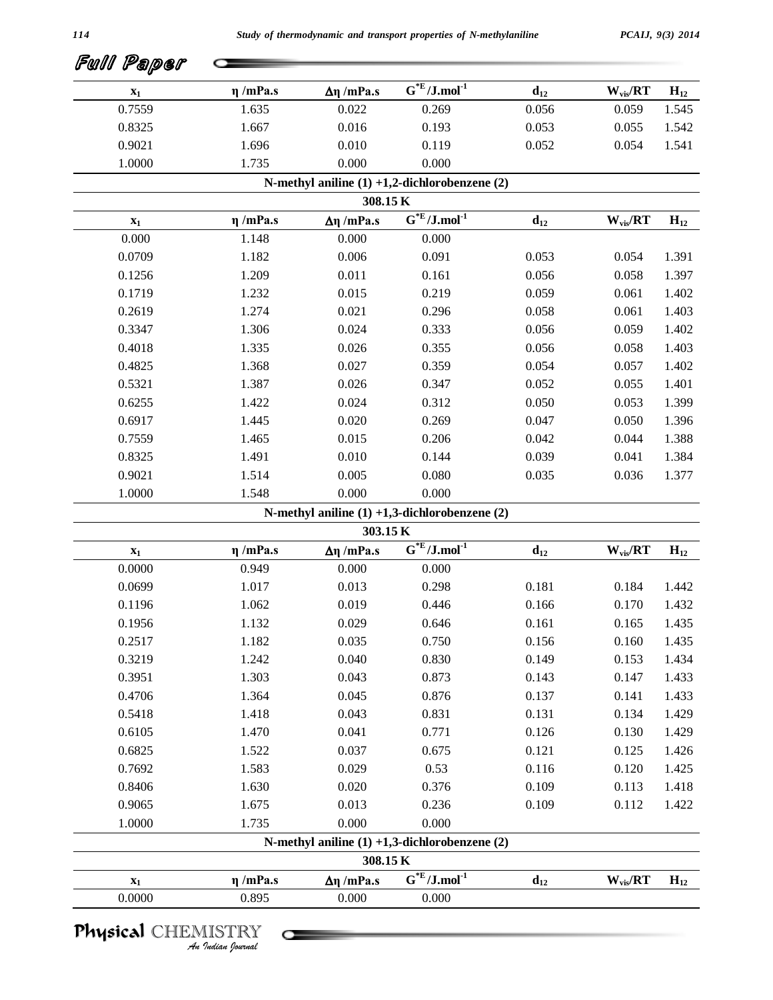| $\mathbf{x}_1$ | $\eta$ /mPa.s | $Δη$ /mPa.s          | $G^*E/J$ .mol <sup>-1</sup>                        | $d_{12}$ | $W_{vis}/RT$                          | $H_{12}$ |
|----------------|---------------|----------------------|----------------------------------------------------|----------|---------------------------------------|----------|
| 0.7559         | 1.635         | 0.022                | 0.269                                              | 0.056    | 0.059                                 | 1.545    |
| 0.8325         | 1.667         | 0.016                | 0.193                                              | 0.053    | 0.055                                 | 1.542    |
| 0.9021         | 1.696         | 0.010                | 0.119                                              | 0.052    | 0.054                                 | 1.541    |
| 1.0000         | 1.735         | 0.000                | 0.000                                              |          |                                       |          |
|                |               |                      | N-methyl aniline $(1) +1,2$ -dichlorobenzene $(2)$ |          |                                       |          |
|                |               | 308.15K              |                                                    |          |                                       |          |
| $\mathbf{x}_1$ | $\eta$ /mPa.s | $\Delta \eta$ /mPa.s | $\overline{G^{*E}}$ /J.mol <sup>-1</sup>           | $d_{12}$ | $\mathbf{W}_{\text{vis}}/\mathbf{RT}$ | $H_{12}$ |
| 0.000          | 1.148         | 0.000                | 0.000                                              |          |                                       |          |
| 0.0709         | 1.182         | 0.006                | 0.091                                              | 0.053    | 0.054                                 | 1.391    |
| 0.1256         | 1.209         | 0.011                | 0.161                                              | 0.056    | 0.058                                 | 1.397    |
| 0.1719         | 1.232         | 0.015                | 0.219                                              | 0.059    | 0.061                                 | 1.402    |
| 0.2619         | 1.274         | 0.021                | 0.296                                              | 0.058    | 0.061                                 | 1.403    |
| 0.3347         | 1.306         | 0.024                | 0.333                                              | 0.056    | 0.059                                 | 1.402    |
| 0.4018         | 1.335         | 0.026                | 0.355                                              | 0.056    | 0.058                                 | 1.403    |
| 0.4825         | 1.368         | 0.027                | 0.359                                              | 0.054    | 0.057                                 | 1.402    |
| 0.5321         | 1.387         | 0.026                | 0.347                                              | 0.052    | 0.055                                 | 1.401    |
| 0.6255         | 1.422         | 0.024                | 0.312                                              | 0.050    | 0.053                                 | 1.399    |
| 0.6917         | 1.445         | 0.020                | 0.269                                              | 0.047    | 0.050                                 | 1.396    |
| 0.7559         | 1.465         | 0.015                | 0.206                                              | 0.042    | 0.044                                 | 1.388    |
| 0.8325         | 1.491         | 0.010                | 0.144                                              | 0.039    | 0.041                                 | 1.384    |
| 0.9021         | 1.514         | 0.005                | 0.080                                              | 0.035    | 0.036                                 | 1.377    |
| 1.0000         | 1.548         | 0.000                | 0.000                                              |          |                                       |          |
|                |               |                      | N-methyl aniline $(1) +1,3$ -dichlorobenzene $(2)$ |          |                                       |          |
|                |               | 303.15 K             |                                                    |          |                                       |          |
| $\mathbf{x}_1$ | $\eta$ /mPa.s | $Δη$ /mPa.s          | $G^*E/J$ .mol <sup>-1</sup>                        | $d_{12}$ | $W_{vis}/RT$                          | $H_{12}$ |
| 0.0000         | 0.949         | 0.000                | 0.000                                              |          |                                       |          |
| 0.0699         | 1.017         | 0.013                | 0.298                                              | 0.181    | 0.184                                 | 1.442    |
| 0.1196         | 1.062         | 0.019                | 0.446                                              | 0.166    | 0.170                                 | 1.432    |
| 0.1956         | 1.132         | 0.029                | 0.646                                              | 0.161    | 0.165                                 | 1.435    |
| 0.2517         | 1.182         | 0.035                | 0.750                                              | 0.156    | 0.160                                 | 1.435    |
| 0.3219         | 1.242         | 0.040                | 0.830                                              | 0.149    | 0.153                                 | 1.434    |
| 0.3951         | 1.303         | 0.043                | 0.873                                              | 0.143    | 0.147                                 | 1.433    |
| 0.4706         | 1.364         | 0.045                | 0.876                                              | 0.137    | 0.141                                 | 1.433    |
| 0.5418         | 1.418         | 0.043                | 0.831                                              | 0.131    | 0.134                                 | 1.429    |
| 0.6105         | 1.470         | 0.041                | 0.771                                              | 0.126    | 0.130                                 | 1.429    |
| 0.6825         | 1.522         | 0.037                | 0.675                                              | 0.121    | 0.125                                 | 1.426    |
| 0.7692         | 1.583         | 0.029                | 0.53                                               | 0.116    | 0.120                                 | 1.425    |
| 0.8406         | 1.630         | 0.020                | 0.376                                              | 0.109    | 0.113                                 | 1.418    |
| 0.9065         | 1.675         | 0.013                | 0.236                                              | 0.109    | 0.112                                 | 1.422    |
| 1.0000         | 1.735         | 0.000                | 0.000                                              |          |                                       |          |
|                |               |                      | N-methyl aniline $(1) +1,3$ -dichlorobenzene $(2)$ |          |                                       |          |
|                |               | 308.15 K             |                                                    |          |                                       |          |
| $\mathbf{x}_1$ | $\eta$ /mPa.s | $Δη$ /mPa.s          | $\overline{G^{*E}}$ /J.mol <sup>-1</sup>           | $d_{12}$ | $\mathbf{W}_{\text{vis}}/\mathbf{RT}$ | $H_{12}$ |
| 0.0000         | 0.895         | 0.000                | 0.000                                              |          |                                       |          |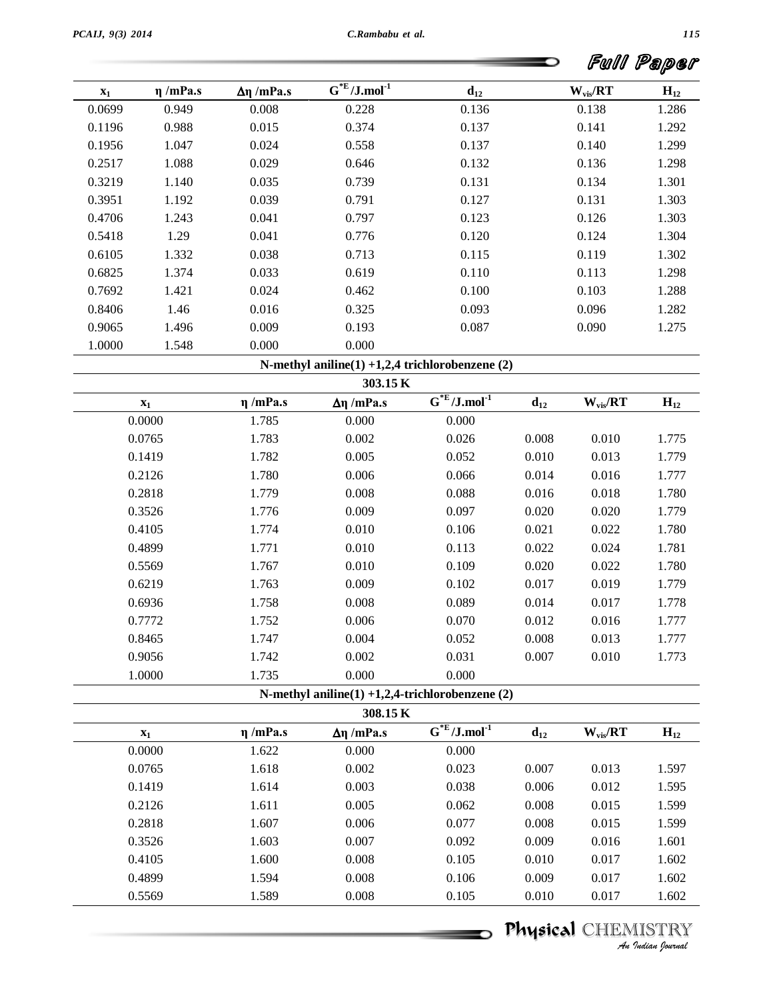|                |               |                      |                                                                   |          |              | Full Paper |
|----------------|---------------|----------------------|-------------------------------------------------------------------|----------|--------------|------------|
| $\mathbf{x}_1$ | $\eta$ /mPa.s | $\Delta \eta$ /mPa.s | $\textbf{G}^{* \textbf{E}} / \textbf{J}.\text{mol}^{\textbf{-1}}$ | $d_{12}$ | $W_{vis}/RT$ | $H_{12}$   |
| 0.0699         | 0.949         | 0.008                | 0.228                                                             | 0.136    | 0.138        | 1.286      |
| 0.1196         | 0.988         | 0.015                | 0.374                                                             | 0.137    | 0.141        | 1.292      |
| 0.1956         | 1.047         | 0.024                | 0.558                                                             | 0.137    | 0.140        | 1.299      |
| 0.2517         | 1.088         | 0.029                | 0.646                                                             | 0.132    | 0.136        | 1.298      |
| 0.3219         | 1.140         | 0.035                | 0.739                                                             | 0.131    | 0.134        | 1.301      |
| 0.3951         | 1.192         | 0.039                | 0.791                                                             | 0.127    | 0.131        | 1.303      |
| 0.4706         | 1.243         | 0.041                | 0.797                                                             | 0.123    | 0.126        | 1.303      |
| 0.5418         | 1.29          | 0.041                | 0.776                                                             | 0.120    | 0.124        | 1.304      |
| 0.6105         | 1.332         | 0.038                | 0.713                                                             | 0.115    | 0.119        | 1.302      |
| 0.6825         | 1.374         | 0.033                | 0.619                                                             | 0.110    | 0.113        | 1.298      |
| 0.7692         | 1.421         | 0.024                | 0.462                                                             | 0.100    | 0.103        | 1.288      |
| 0.8406         | 1.46          | 0.016                | 0.325                                                             | 0.093    | 0.096        | 1.282      |
| 0.9065         | 1.496         | 0.009                | 0.193                                                             | 0.087    | 0.090        | 1.275      |
| 1.0000         | 1.548         | 0.000                | 0.000                                                             |          |              |            |

**N-methyl aniline(1) +1,2,4 trichlorobenzene (2)**

|                |               |                      | $\Gamma$ is-ineally annihe(1) +1,2,4 and conditional values (2) |          |              |          |
|----------------|---------------|----------------------|-----------------------------------------------------------------|----------|--------------|----------|
|                |               | 303.15 K             |                                                                 |          |              |          |
| $\mathbf{x}_1$ | $\eta$ /mPa.s | $\Delta \eta$ /mPa.s | $G^*E/J$ .mol <sup>-1</sup>                                     | $d_{12}$ | $W_{vis}/RT$ | $H_{12}$ |
| 0.0000         | 1.785         | 0.000                | 0.000                                                           |          |              |          |
| 0.0765         | 1.783         | 0.002                | 0.026                                                           | 0.008    | 0.010        | 1.775    |
| 0.1419         | 1.782         | 0.005                | 0.052                                                           | 0.010    | 0.013        | 1.779    |
| 0.2126         | 1.780         | 0.006                | 0.066                                                           | 0.014    | 0.016        | 1.777    |
| 0.2818         | 1.779         | 0.008                | 0.088                                                           | 0.016    | 0.018        | 1.780    |
| 0.3526         | 1.776         | 0.009                | 0.097                                                           | 0.020    | 0.020        | 1.779    |
| 0.4105         | 1.774         | 0.010                | 0.106                                                           | 0.021    | 0.022        | 1.780    |
| 0.4899         | 1.771         | 0.010                | 0.113                                                           | 0.022    | 0.024        | 1.781    |
| 0.5569         | 1.767         | 0.010                | 0.109                                                           | 0.020    | 0.022        | 1.780    |
| 0.6219         | 1.763         | 0.009                | 0.102                                                           | 0.017    | 0.019        | 1.779    |
| 0.6936         | 1.758         | 0.008                | 0.089                                                           | 0.014    | 0.017        | 1.778    |
| 0.7772         | 1.752         | 0.006                | 0.070                                                           | 0.012    | 0.016        | 1.777    |
| 0.8465         | 1.747         | 0.004                | 0.052                                                           | 0.008    | 0.013        | 1.777    |
| 0.9056         | 1.742         | 0.002                | 0.031                                                           | 0.007    | 0.010        | 1.773    |
| 1.0000         | 1.735         | 0.000                | 0.000                                                           |          |              |          |

| $H_{12}$ | $W_{vis}/RT$ | $d_{12}$ | $G^*E/J$ .mol <sup>-1</sup> | $\Delta \eta$ /mPa.s | $\eta$ /mPa.s | $X_1$  |
|----------|--------------|----------|-----------------------------|----------------------|---------------|--------|
|          |              |          | 0.000                       | 0.000                | 1.622         | 0.0000 |
| 1.597    | 0.013        | 0.007    | 0.023                       | 0.002                | 1.618         | 0.0765 |
| 1.595    | 0.012        | 0.006    | 0.038                       | 0.003                | 1.614         | 0.1419 |
| 1.599    | 0.015        | 0.008    | 0.062                       | 0.005                | 1.611         | 0.2126 |
| 1.599    | 0.015        | 0.008    | 0.077                       | 0.006                | 1.607         | 0.2818 |
| 1.601    | 0.016        | 0.009    | 0.092                       | 0.007                | 1.603         | 0.3526 |
| 1.602    | 0.017        | 0.010    | 0.105                       | 0.008                | 1.600         | 0.4105 |
| 1.602    | 0.017        | 0.009    | 0.106                       | 0.008                | 1.594         | 0.4899 |
| 1.602    | 0.017        | 0.010    | 0.105                       | 0.008                | 1.589         | 0.5569 |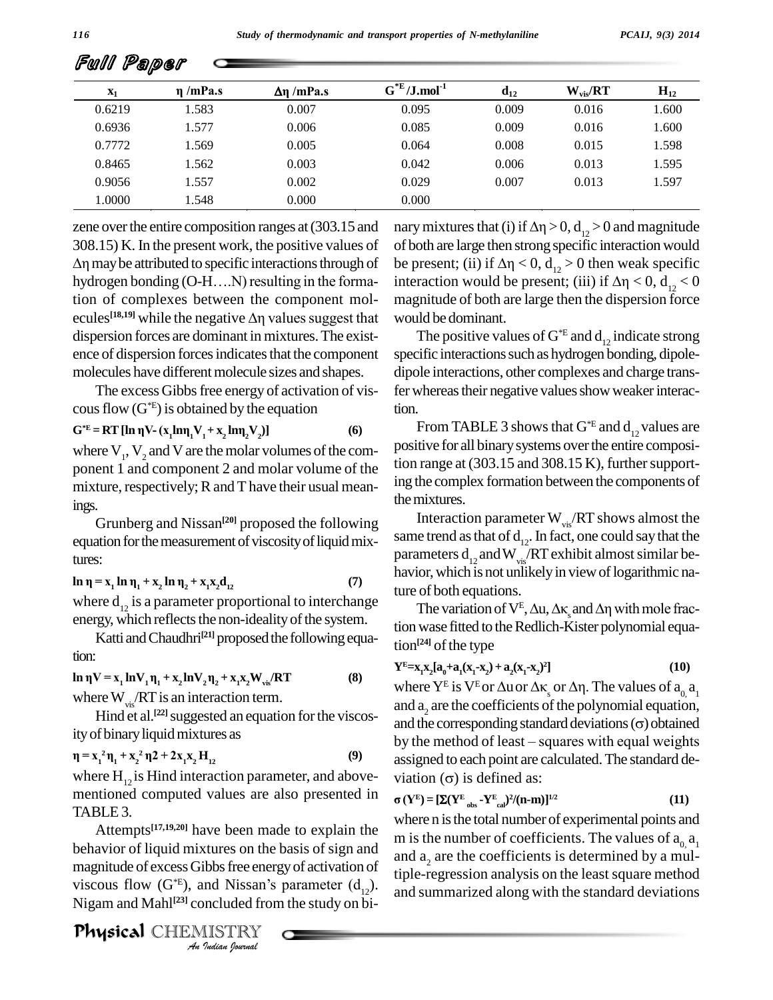| $\mathbf{x}_1$ | $\eta$ /mPa.s | $\Delta \eta$ /mPa.s | $G^*E/J$ .mol <sup>-1</sup> | $d_{12}$ | $W_{vis}/RT$ | $H_{12}$ |
|----------------|---------------|----------------------|-----------------------------|----------|--------------|----------|
| 0.6219         | 1.583         | 0.007                | 0.095                       | 0.009    | 0.016        | 1.600    |
| 0.6936         | 1.577         | 0.006                | 0.085                       | 0.009    | 0.016        | 1.600    |
| 0.7772         | 1.569         | 0.005                | 0.064                       | 0.008    | 0.015        | 1.598    |
| 0.8465         | 1.562         | 0.003                | 0.042                       | 0.006    | 0.013        | 1.595    |
| 0.9056         | 1.557         | 0.002                | 0.029                       | 0.007    | 0.013        | 1.597    |
| 1.0000         | 1.548         | 0.000                | 0.000                       |          |              |          |

zene over the entire composition ranges at (303.15 and nary m 308.15) K. In the present work, the positive values of of b<br> $\Delta \eta$  may be attributed to specific interactions through of be p<br>hydrogen bonding (O-H....N) resulting in the forma-inte  $\Delta \eta$  may be attributed to specific interactions through of tion of complexes between the component molhydrogen bonding (O-H....N) resulting in the formation of complexes between the component mol-<br>ecules<sup>[18,19]</sup> while the negative  $\Delta \eta$  values suggest that wo dispersion forces are dominant in mixtures.The exist ence of dispersion forces indicates that the component molecules have different molecule sizes and shapes.

The excess Gibbs free energy of activation of viscous flow  $(G^*E)$  is obtained by the equation<br>  $G^*E = RT [\ln \eta V - (x_1 \ln \eta_1 V_1 + x_2 \ln \eta_2 V_2)]$  (6)

$$
= RT [\ln \eta V - (x_1 \ln \eta_1 V_1 + x_2 \ln \eta_2 V_2)] \tag{6}
$$

where  $V_1$ ,  $V_2$  and V are the molar volumes of the com-<br>ponent 1 and component 2 and molar volume of the tion rate mixture, respectively;  $R$  and  $T$  have their usual meanings. Internix<br>Grunberg and Nissan<sup>[20]</sup> proposed the following Lite

equation for the measurement of viscosity of liquid mixtures: **ln**  $\eta = x_1 \ln \eta_1 + x_2 \ln \eta_2 + x_3$  $\ln \eta_2 + x_1 x_2 d_{12}$  (7)

where  $d_{12}$  is a parameter proportional to interchange  $\overline{q}$ energy, which reflects the non-ideality of the system.

Katti and Chaudhri<sup>[21]</sup> proposed the following equation: **ln**  $\eta V = x_1 \ln V_1 \eta_1 + x_2 \ln V_2 \eta_2 + x_1 x_2 W_{vis} / RT$  (8)

where W<sub>vis</sub>/RT is an interaction term.<br>
Hind et al.<sup>[22]</sup> suggested an equation for the viscos-<br>
ity of binary liquid mixtures as<br>  $\mathbf{p} = \mathbf{x}_1^2 \mathbf{n}_1 + \mathbf{x}_2^2 \mathbf{n}_2 + 2\mathbf{x}_1 \mathbf{x}_2 \mathbf{H}_{12}$  (9) ity of binary liquid mixtures as<br> $\mathbf{n} = \mathbf{x}^2 \mathbf{n} + \mathbf{x}^2 \mathbf{n}^2 + 2\mathbf{x} \mathbf{x}$  $\frac{1}{2}$  **b 1**<br>  $\frac{1}{2}$  **x**<sub>1</sub><sup>2</sup> **n**<sub>1</sub> + **x**<sub>2</sub><sup>2</sup> **n**<sub>2</sub> + 2*x*<sub>2</sub>

where  $H_{12}$  is Hind interaction parameter, and above- viat mentioned computed values are also presented in TABLE 3.

behavior of liquid mixtures on the basis of sign and and a *Indian*<br>*Indian*<br>*Indian*<br>*IISTRY*<br>*Indian fournal* Attempts<sup>[17,19,20]</sup> have been made to explain the  $\frac{m}{m}$  is the magnitude of excess Gibbs free energy of activation of viscous flow  $(G^*E)$ , and N behavior of liquid mixtures on the basis of sign and<br>magnitude of excess Gibbs free energy of activation of<br>viscous flow  $(G^*E)$ , and Nissan's parameter  $(d_{12})$ .<br>Nigam and Mahl<sup>[23]</sup> concluded from the study on bi-Nigam and Mahl<sup>[23]</sup> concluded from the study on bi-

Physical CHEMISTRY

of both are large then strong specific interaction would mary mixtures that (i) if  $\Delta \eta > 0$ ,  $d_{12} > 0$  and magnitude<br>of both are large then strong specific interaction would<br>be present; (ii) if  $\Delta \eta < 0$ ,  $d_{12} > 0$  then weak specific be present; (ii) if  $\Delta \eta < 0$ ,  $d_{12} > 0$  then weak specific interaction would be present; (iii) if  $\Delta \eta < 0$ ,  $d_{12} < 0$ magnitude of both are large then the dispersion force would be dominant.

The positive values of  $G^*E$  and  $d_{12}$  indicate strong specific interactions such as hydrogen bonding, dipoledipole interactions, other complexes and charge transfer whereas their negative values show weaker interac-

tion.<br>From TABLE 3 shows that  $G^*E$  and  $d_{12}$  values are positive for all binarysystems overthe entire composition range at  $(303.15 \text{ and } 308.15 \text{ K})$ , further supporting the complex formation between the components of the mixtures.

Interaction parameter  $W_{vis} / RT$  shows almost the same trend as that of  $d_{12}$ . In fact, one could say that the parameters  $d_{12}$  and  $W_{vis}$ /RT exhibit almost similar beture of both equations. havior, which is not unlikely in view of logarithmic na-

The variation of  $V^E$ ,  $\Delta u$ ,  $\Delta \kappa$  and  $\Delta \eta$  with mole fraction wase fitted to the Redlich-Kister polynomial equation<sup>[24]</sup> of the type

$$
Y^{E}=x_{1}x_{2}[a_{0}+a_{1}(x_{1}-x_{2})+a_{2}(x_{1}-x_{2})^{2}]
$$
\n(10)

tion<sup>124</sup> of the type<br>  $Y^E = x_1x_2[a_0 + a_1(x_1-x_2) + a_2(x_1-x_2)^2]$  (10)<br>
where  $Y^E$  is  $V^E$  or  $\Delta u$  or  $\Delta \kappa_g$  or  $\Delta \eta$ . The values of  $a_0, a_1$ where  $Y^E$  is  $V^E$  or  $\Delta u$  or  $\Delta \kappa_s$  or  $\Delta \eta$ . The values of  $a_{0}$ ,  $a_1$ <br>and  $a_2$  are the coefficients of the polynomial equation,<br>and the corresponding standard deviations ( $\sigma$ ) obtained and  $a_2$  are the coefficients of the polynomial equation,<br>and the corresponding standard deviations ( $\sigma$ ) obtained assigned to each point are calculated.The standard de- **Û**by the method of least – squares with equal weights  $\overline{\text{R}}$  **(YE**) =  $\overline{\text{R}}$   $\text{R}$  **(YE**) =  $\overline{\text{R}}$   $\text{R}$   $\text{R}$   $\text{R}$   $\text{R}$   $\text{R}$   $\text{R}$   $\text{R}$   $\text{R}$   $\text{R}$   $\text{R}$   $\text{R}$   $\text{R}$   $\text{R}$   $\text{R}$   $\text{R}$   $\text{R}$   $\text{R}$   $\text{R}$   $\text{R}$   $\text{R}$   $\$ 

$$
\sigma(Y^{E}) = [\Sigma(Y^{E}_{obs} - Y^{E}_{cal})^{2}/(n-m)]^{1/2}
$$
\n(11)

where n is the total number of experimental points and m is the number of coefficients. The values of  $a_0$   $a_1$ and  $a<sub>2</sub>$  are the coefficients is determined by a multiple-regression analysis on the least square method and summarized along with the standard deviations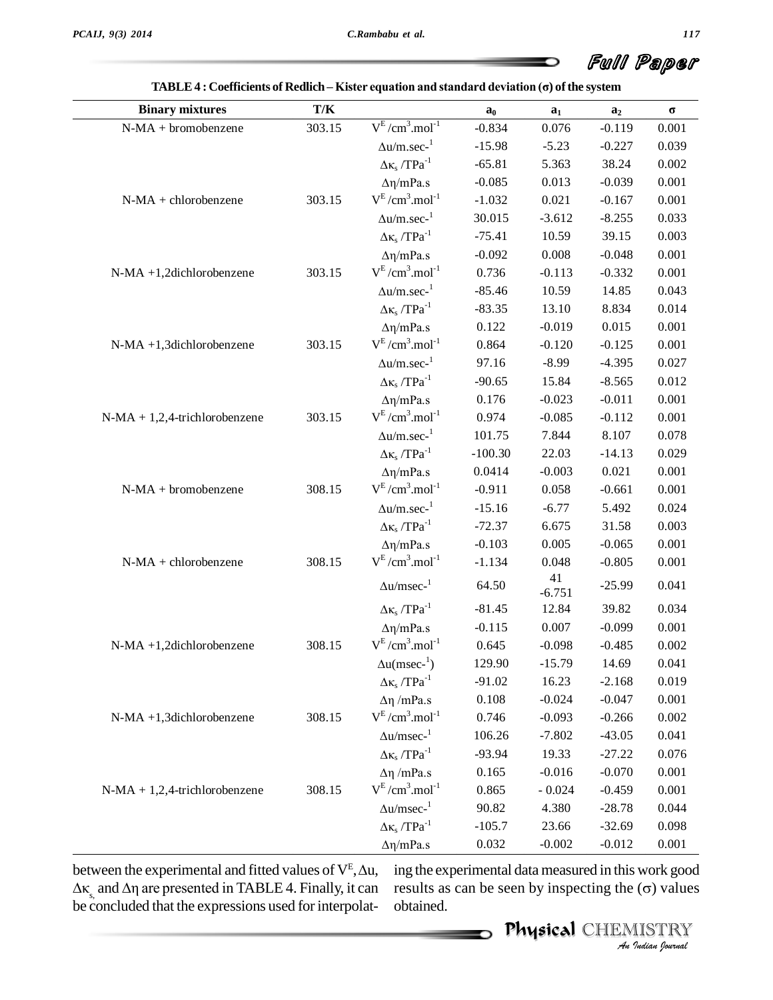| <b>Binary mixtures</b>          | $\mathbf{T}/\mathbf{K}$ |                                       | $a_0$     | a <sub>1</sub> | a <sub>2</sub> | $\sigma$ |
|---------------------------------|-------------------------|---------------------------------------|-----------|----------------|----------------|----------|
| $N-MA + bromobenzene$           | 303.15                  | $V^{E}/cm^{3}.mol^{-1}$               | $-0.834$  | 0.076          | $-0.119$       | 0.001    |
|                                 |                         | $\Delta u/m.$ sec- $^1$               | $-15.98$  | $-5.23$        | $-0.227$       | 0.039    |
|                                 |                         | $\Delta \kappa_s$ /TPa <sup>-1</sup>  | $-65.81$  | 5.363          | 38.24          | 0.002    |
|                                 |                         | $\Delta \eta/mPa.s$                   | $-0.085$  | 0.013          | $-0.039$       | 0.001    |
| $N-MA + chlorobenzene$          | 303.15                  | $V^{E}/cm^{3}.mol^{-1}$               | $-1.032$  | 0.021          | $-0.167$       | 0.001    |
|                                 |                         | $\Delta u/m/sec^{-1}$                 | 30.015    | $-3.612$       | $-8.255$       | 0.033    |
|                                 |                         | $\Delta \kappa_s$ /TPa <sup>-1</sup>  | $-75.41$  | 10.59          | 39.15          | 0.003    |
|                                 |                         | $\Delta \eta/mPa.s$                   | $-0.092$  | 0.008          | $-0.048$       | 0.001    |
| N-MA +1,2dichlorobenzene        | 303.15                  | $V^{E}/cm^{3}.mol^{-1}$               | 0.736     | $-0.113$       | $-0.332$       | 0.001    |
|                                 |                         | $\Delta u/m.$ sec- $^1$               | $-85.46$  | 10.59          | 14.85          | 0.043    |
|                                 |                         | $\Delta \kappa_s$ /TPa <sup>-1</sup>  | $-83.35$  | 13.10          | 8.834          | 0.014    |
|                                 |                         | $\Delta \eta/mPa.s$                   | 0.122     | $-0.019$       | 0.015          | 0.001    |
| N-MA +1,3dichlorobenzene        | 303.15                  | $V^{E}/cm^{3}.mol^{-1}$               | 0.864     | $-0.120$       | $-0.125$       | 0.001    |
|                                 |                         | $\Delta {\rm u}/{\rm m.sec}^{\rm -1}$ | 97.16     | $-8.99$        | $-4.395$       | 0.027    |
|                                 |                         | $\Delta \kappa_s$ /TPa <sup>-1</sup>  | $-90.65$  | 15.84          | $-8.565$       | 0.012    |
|                                 |                         | $\Delta \eta/mPa.s$                   | 0.176     | $-0.023$       | $-0.011$       | 0.001    |
| $N-MA + 1,2,4-trichlorobenzene$ | 303.15                  | $V^{E}/cm^{3}.mol^{-1}$               | 0.974     | $-0.085$       | $-0.112$       | 0.001    |
|                                 |                         | $\Delta u/m.$ sec- $^1$               | 101.75    | 7.844          | 8.107          | 0.078    |
|                                 |                         | $\Delta \kappa_s$ /TPa <sup>-1</sup>  | $-100.30$ | 22.03          | $-14.13$       | 0.029    |
|                                 |                         | $\Delta \eta/mPa.s$                   | 0.0414    | $-0.003$       | 0.021          | 0.001    |
| $N-MA + bromobenzene$           | 308.15                  | $V^{E}/cm^{3}.mol^{-1}$               | $-0.911$  | 0.058          | $-0.661$       | 0.001    |
|                                 |                         | $\Delta u/m.$ sec- $^1$               | $-15.16$  | $-6.77$        | 5.492          | 0.024    |
|                                 |                         | $\Delta \kappa_s$ /TPa <sup>-1</sup>  | $-72.37$  | 6.675          | 31.58          | 0.003    |
|                                 |                         | $\Delta \eta/mPa.s$                   | $-0.103$  | 0.005          | $-0.065$       | 0.001    |
| $N-MA + chlorobenzene$          | 308.15                  | $V^{E}/cm^{3}.mol^{-1}$               | $-1.134$  | 0.048          | $-0.805$       | 0.001    |
|                                 |                         | $\Delta u/msec^{-1}$                  | 64.50     | 41<br>$-6.751$ | $-25.99$       | 0.041    |
|                                 |                         | $\Delta \kappa_s$ /TPa <sup>-1</sup>  | $-81.45$  | 12.84          | 39.82          | 0.034    |
|                                 |                         | $\Delta \eta/mPa.s$                   | $-0.115$  | 0.007          | $-0.099$       | 0.001    |
| N-MA +1,2dichlorobenzene        | 308.15                  | $V^{E}/cm^{3}.mol^{-1}$               | 0.645     | $-0.098$       | $-0.485$       | 0.002    |
|                                 |                         | $\Delta u$ (msec- <sup>1</sup> )      | 129.90    | $-15.79$       | 14.69          | 0.041    |
|                                 |                         | $\Delta \kappa_s$ /TPa <sup>-1</sup>  | $-91.02$  | 16.23          | $-2.168$       | 0.019    |
|                                 |                         | $Δη$ /mPa.s                           | 0.108     | $-0.024$       | $-0.047$       | 0.001    |
| N-MA +1,3dichlorobenzene        | 308.15                  | $V^{E}/cm^{3}.mol^{-1}$               | 0.746     | $-0.093$       | $-0.266$       | 0.002    |
|                                 |                         | $\Delta u/msec^{-1}$                  | 106.26    | $-7.802$       | $-43.05$       | 0.041    |
|                                 |                         | $\Delta \kappa_s$ /TPa <sup>-1</sup>  | $-93.94$  | 19.33          | $-27.22$       | 0.076    |
|                                 |                         | $Δη$ /mPa.s                           | 0.165     | $-0.016$       | $-0.070$       | 0.001    |
| $N-MA + 1,2,4-trichlorobenzene$ | 308.15                  | $V^{E}/cm^{3}.mol^{-1}$               | 0.865     | $-0.024$       | $-0.459$       | 0.001    |
|                                 |                         | $\Delta u/msec^{-1}$                  | 90.82     | 4.380          | $-28.78$       | 0.044    |
|                                 |                         | $\Delta \kappa_s$ /TPa <sup>-1</sup>  | $-105.7$  | 23.66          | $-32.69$       | 0.098    |
|                                 |                         | $\Delta \eta/mPa.s$                   | 0.032     | $-0.002$       | $-0.012$       | 0.001    |

|                                                                                                       | Full Paper |
|-------------------------------------------------------------------------------------------------------|------------|
| TABLE 4 : Coefficients of Redlich – Kister equation and standard deviation ( $\sigma$ ) of the system |            |

 $\Delta \kappa$ <sub>s,</sub> and  $\Delta \eta$  are presented in TABLE 4. Finally, it can results as can be seen by inspecting the ( $\sigma$ ) values be concluded that the expressions used for interpolat-

*I*<br>*I* work good<br>*I* ISTRY<br>*I ISTRY*<br>*Indian hournal* ing the experimental data measured in this work good  $\frac{0.032}{1000}$  =  $\frac{0.012}{0.012}$  =  $\frac{0.001}{0.001}$ <br>ing the experimental data measured in this work good<br>results as can be seen by inspecting the ( $\sigma$ ) values obtained.